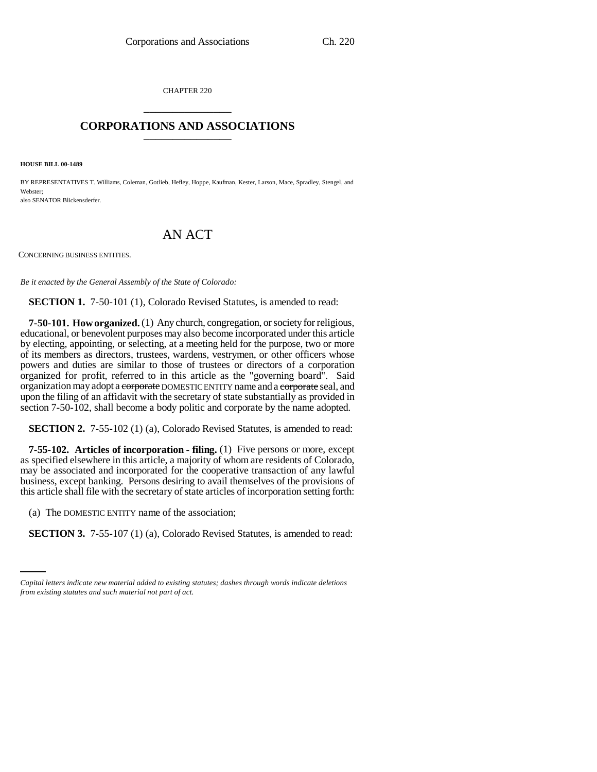CHAPTER 220 \_\_\_\_\_\_\_\_\_\_\_\_\_\_\_

# **CORPORATIONS AND ASSOCIATIONS** \_\_\_\_\_\_\_\_\_\_\_\_\_\_\_

**HOUSE BILL 00-1489** 

BY REPRESENTATIVES T. Williams, Coleman, Gotlieb, Hefley, Hoppe, Kaufman, Kester, Larson, Mace, Spradley, Stengel, and Webster; also SENATOR Blickensderfer.

# AN ACT

CONCERNING BUSINESS ENTITIES.

*Be it enacted by the General Assembly of the State of Colorado:*

**SECTION 1.** 7-50-101 (1), Colorado Revised Statutes, is amended to read:

**7-50-101. How organized.** (1) Any church, congregation, or society for religious, educational, or benevolent purposes may also become incorporated under this article by electing, appointing, or selecting, at a meeting held for the purpose, two or more of its members as directors, trustees, wardens, vestrymen, or other officers whose powers and duties are similar to those of trustees or directors of a corporation organized for profit, referred to in this article as the "governing board". Said organization may adopt a corporate DOMESTIC ENTITY name and a corporate seal, and upon the filing of an affidavit with the secretary of state substantially as provided in section 7-50-102, shall become a body politic and corporate by the name adopted.

**SECTION 2.** 7-55-102 (1) (a), Colorado Revised Statutes, is amended to read:

**7-55-102. Articles of incorporation - filing.** (1) Five persons or more, except as specified elsewhere in this article, a majority of whom are residents of Colorado, may be associated and incorporated for the cooperative transaction of any lawful business, except banking. Persons desiring to avail themselves of the provisions of this article shall file with the secretary of state articles of incorporation setting forth:

 $\sum_{i=1}^{n}$ (a) The DOMESTIC ENTITY name of the association;

**SECTION 3.** 7-55-107 (1) (a), Colorado Revised Statutes, is amended to read:

*Capital letters indicate new material added to existing statutes; dashes through words indicate deletions from existing statutes and such material not part of act.*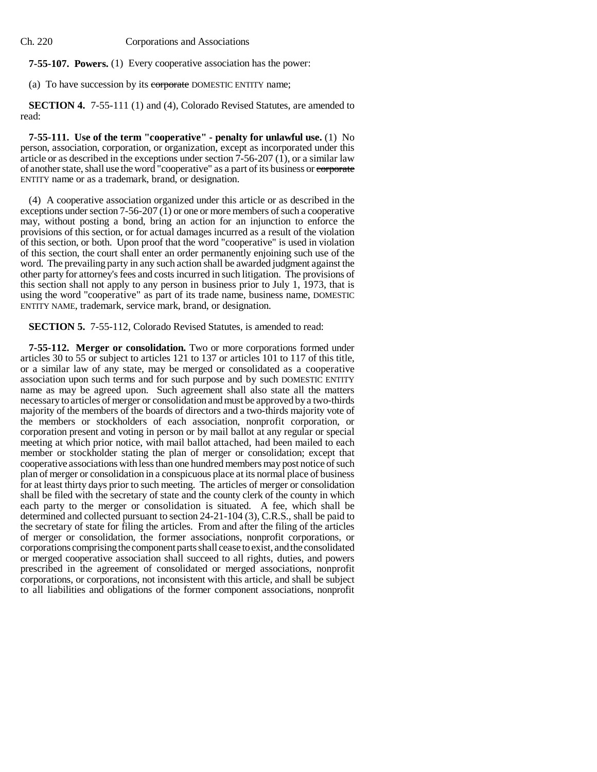**7-55-107. Powers.** (1) Every cooperative association has the power:

(a) To have succession by its corporate DOMESTIC ENTITY name;

**SECTION 4.** 7-55-111 (1) and (4), Colorado Revised Statutes, are amended to read:

**7-55-111. Use of the term "cooperative" - penalty for unlawful use.** (1) No person, association, corporation, or organization, except as incorporated under this article or as described in the exceptions under section  $7-56-207(1)$ , or a similar law of another state, shall use the word "cooperative" as a part of its business or corporate ENTITY name or as a trademark, brand, or designation.

(4) A cooperative association organized under this article or as described in the exceptions under section 7-56-207  $(1)$  or one or more members of such a cooperative may, without posting a bond, bring an action for an injunction to enforce the provisions of this section, or for actual damages incurred as a result of the violation of this section, or both. Upon proof that the word "cooperative" is used in violation of this section, the court shall enter an order permanently enjoining such use of the word. The prevailing party in any such action shall be awarded judgment against the other party for attorney's fees and costs incurred in such litigation. The provisions of this section shall not apply to any person in business prior to July 1, 1973, that is using the word "cooperative" as part of its trade name, business name, DOMESTIC ENTITY NAME, trademark, service mark, brand, or designation.

**SECTION 5.** 7-55-112, Colorado Revised Statutes, is amended to read:

**7-55-112. Merger or consolidation.** Two or more corporations formed under articles 30 to 55 or subject to articles 121 to 137 or articles 101 to 117 of this title, or a similar law of any state, may be merged or consolidated as a cooperative association upon such terms and for such purpose and by such DOMESTIC ENTITY name as may be agreed upon. Such agreement shall also state all the matters necessary to articles of merger or consolidation and must be approved by a two-thirds majority of the members of the boards of directors and a two-thirds majority vote of the members or stockholders of each association, nonprofit corporation, or corporation present and voting in person or by mail ballot at any regular or special meeting at which prior notice, with mail ballot attached, had been mailed to each member or stockholder stating the plan of merger or consolidation; except that cooperative associations with less than one hundred members may post notice of such plan of merger or consolidation in a conspicuous place at its normal place of business for at least thirty days prior to such meeting. The articles of merger or consolidation shall be filed with the secretary of state and the county clerk of the county in which each party to the merger or consolidation is situated. A fee, which shall be determined and collected pursuant to section 24-21-104 (3), C.R.S., shall be paid to the secretary of state for filing the articles. From and after the filing of the articles of merger or consolidation, the former associations, nonprofit corporations, or corporations comprising the component parts shall cease to exist, and the consolidated or merged cooperative association shall succeed to all rights, duties, and powers prescribed in the agreement of consolidated or merged associations, nonprofit corporations, or corporations, not inconsistent with this article, and shall be subject to all liabilities and obligations of the former component associations, nonprofit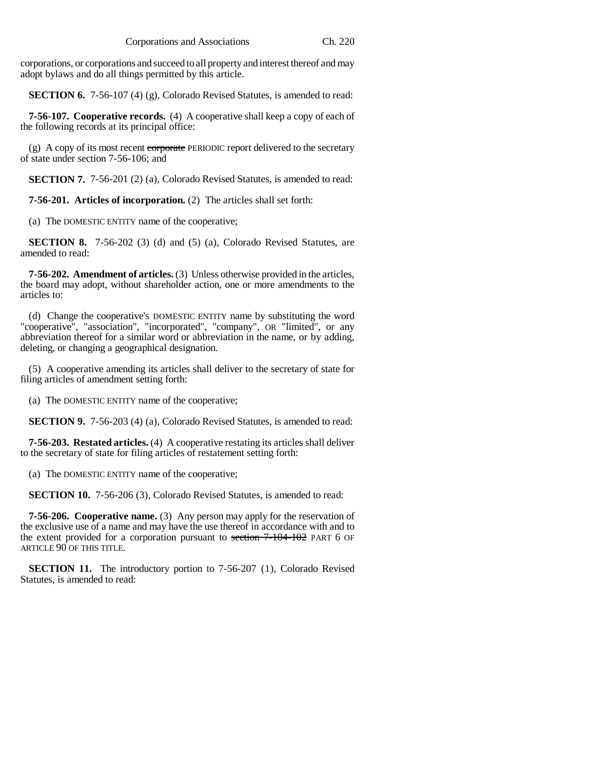corporations, or corporations and succeed to all property and interest thereof and may adopt bylaws and do all things permitted by this article.

**SECTION 6.** 7-56-107 (4) (g), Colorado Revised Statutes, is amended to read:

**7-56-107. Cooperative records.** (4) A cooperative shall keep a copy of each of the following records at its principal office:

(g) A copy of its most recent corporate PERIODIC report delivered to the secretary of state under section 7-56-106; and

**SECTION 7.** 7-56-201 (2) (a), Colorado Revised Statutes, is amended to read:

**7-56-201. Articles of incorporation.** (2) The articles shall set forth:

(a) The DOMESTIC ENTITY name of the cooperative;

**SECTION 8.** 7-56-202 (3) (d) and (5) (a), Colorado Revised Statutes, are amended to read:

**7-56-202. Amendment of articles.** (3) Unless otherwise provided in the articles, the board may adopt, without shareholder action, one or more amendments to the articles to:

(d) Change the cooperative's DOMESTIC ENTITY name by substituting the word "cooperative", "association", "incorporated", "company", OR "limited", or any abbreviation thereof for a similar word or abbreviation in the name, or by adding, deleting, or changing a geographical designation.

(5) A cooperative amending its articles shall deliver to the secretary of state for filing articles of amendment setting forth:

(a) The DOMESTIC ENTITY name of the cooperative;

**SECTION 9.** 7-56-203 (4) (a), Colorado Revised Statutes, is amended to read:

**7-56-203. Restated articles.** (4) A cooperative restating its articles shall deliver to the secretary of state for filing articles of restatement setting forth:

(a) The DOMESTIC ENTITY name of the cooperative;

**SECTION 10.** 7-56-206 (3), Colorado Revised Statutes, is amended to read:

**7-56-206. Cooperative name.** (3) Any person may apply for the reservation of the exclusive use of a name and may have the use thereof in accordance with and to the extent provided for a corporation pursuant to section  $7-104-102$  PART 6 OF ARTICLE 90 OF THIS TITLE.

**SECTION 11.** The introductory portion to 7-56-207 (1), Colorado Revised Statutes, is amended to read: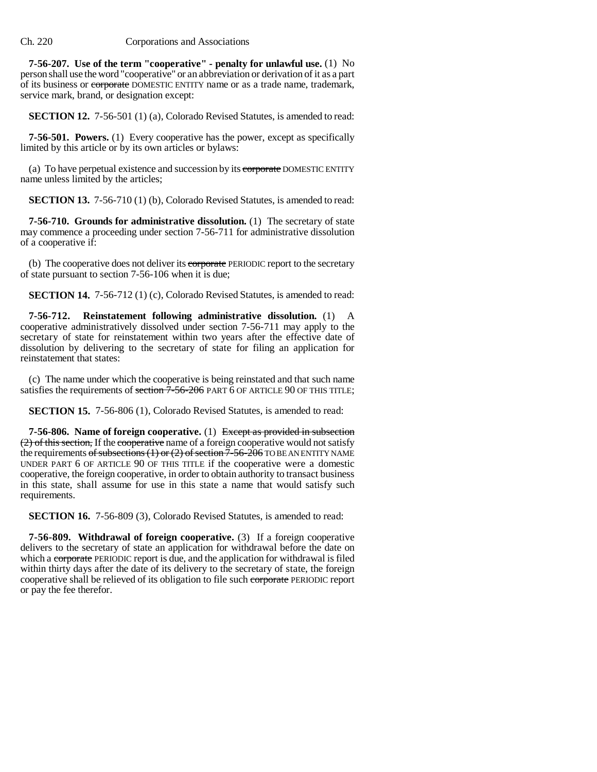**7-56-207. Use of the term "cooperative" - penalty for unlawful use.** (1) No person shall use the word "cooperative" or an abbreviation or derivation of it as a part of its business or corporate DOMESTIC ENTITY name or as a trade name, trademark, service mark, brand, or designation except:

**SECTION 12.** 7-56-501 (1) (a), Colorado Revised Statutes, is amended to read:

**7-56-501. Powers.** (1) Every cooperative has the power, except as specifically limited by this article or by its own articles or bylaws:

(a) To have perpetual existence and succession by its corporate DOMESTIC ENTITY name unless limited by the articles;

**SECTION 13.** 7-56-710 (1) (b), Colorado Revised Statutes, is amended to read:

**7-56-710. Grounds for administrative dissolution.** (1) The secretary of state may commence a proceeding under section 7-56-711 for administrative dissolution of a cooperative if:

(b) The cooperative does not deliver its corporate PERIODIC report to the secretary of state pursuant to section 7-56-106 when it is due;

**SECTION 14.** 7-56-712 (1) (c), Colorado Revised Statutes, is amended to read:

**7-56-712. Reinstatement following administrative dissolution.** (1) A cooperative administratively dissolved under section 7-56-711 may apply to the secretary of state for reinstatement within two years after the effective date of dissolution by delivering to the secretary of state for filing an application for reinstatement that states:

(c) The name under which the cooperative is being reinstated and that such name satisfies the requirements of section  $7-56-206$  PART 6 OF ARTICLE 90 OF THIS TITLE;

**SECTION 15.** 7-56-806 (1), Colorado Revised Statutes, is amended to read:

**7-56-806. Name of foreign cooperative.** (1) Except as provided in subsection (2) of this section, If the cooperative name of a foreign cooperative would not satisfy the requirements of subsections (1) or (2) of section  $\overline{7}$ -56-206 TO BE AN ENTITY NAME UNDER PART 6 OF ARTICLE 90 OF THIS TITLE if the cooperative were a domestic cooperative, the foreign cooperative, in order to obtain authority to transact business in this state, shall assume for use in this state a name that would satisfy such requirements.

**SECTION 16.** 7-56-809 (3), Colorado Revised Statutes, is amended to read:

**7-56-809. Withdrawal of foreign cooperative.** (3) If a foreign cooperative delivers to the secretary of state an application for withdrawal before the date on which a corporate PERIODIC report is due, and the application for withdrawal is filed within thirty days after the date of its delivery to the secretary of state, the foreign cooperative shall be relieved of its obligation to file such corporate PERIODIC report or pay the fee therefor.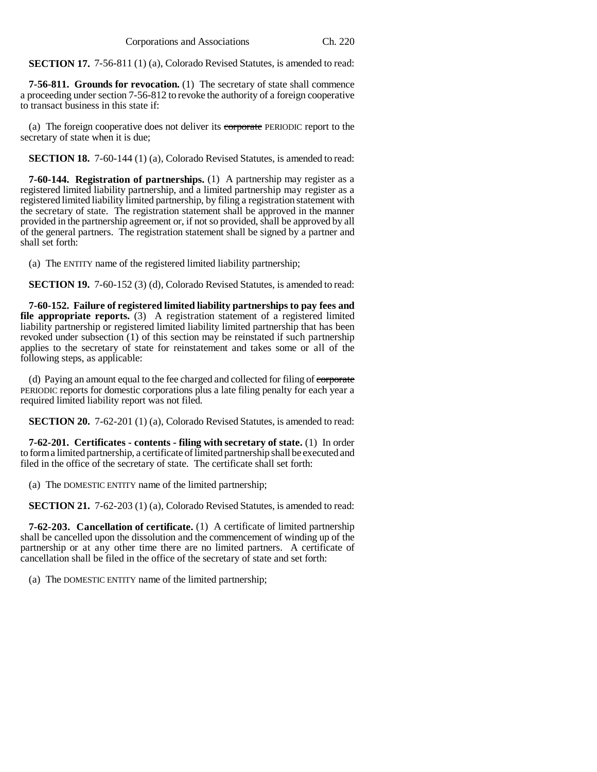**SECTION 17.** 7-56-811 (1) (a), Colorado Revised Statutes, is amended to read:

**7-56-811. Grounds for revocation.** (1) The secretary of state shall commence a proceeding under section 7-56-812 to revoke the authority of a foreign cooperative to transact business in this state if:

(a) The foreign cooperative does not deliver its corporate PERIODIC report to the secretary of state when it is due;

**SECTION 18.** 7-60-144 (1) (a), Colorado Revised Statutes, is amended to read:

**7-60-144. Registration of partnerships.** (1) A partnership may register as a registered limited liability partnership, and a limited partnership may register as a registered limited liability limited partnership, by filing a registration statement with the secretary of state. The registration statement shall be approved in the manner provided in the partnership agreement or, if not so provided, shall be approved by all of the general partners. The registration statement shall be signed by a partner and shall set forth:

(a) The ENTITY name of the registered limited liability partnership;

**SECTION 19.** 7-60-152 (3) (d), Colorado Revised Statutes, is amended to read:

**7-60-152. Failure of registered limited liability partnerships to pay fees and file appropriate reports.** (3) A registration statement of a registered limited liability partnership or registered limited liability limited partnership that has been revoked under subsection (1) of this section may be reinstated if such partnership applies to the secretary of state for reinstatement and takes some or all of the following steps, as applicable:

(d) Paying an amount equal to the fee charged and collected for filing of corporate PERIODIC reports for domestic corporations plus a late filing penalty for each year a required limited liability report was not filed.

**SECTION 20.** 7-62-201 (1) (a), Colorado Revised Statutes, is amended to read:

**7-62-201. Certificates - contents - filing with secretary of state.** (1) In order to form a limited partnership, a certificate of limited partnership shall be executed and filed in the office of the secretary of state. The certificate shall set forth:

(a) The DOMESTIC ENTITY name of the limited partnership;

**SECTION 21.** 7-62-203 (1) (a), Colorado Revised Statutes, is amended to read:

**7-62-203. Cancellation of certificate.** (1) A certificate of limited partnership shall be cancelled upon the dissolution and the commencement of winding up of the partnership or at any other time there are no limited partners. A certificate of cancellation shall be filed in the office of the secretary of state and set forth:

(a) The DOMESTIC ENTITY name of the limited partnership;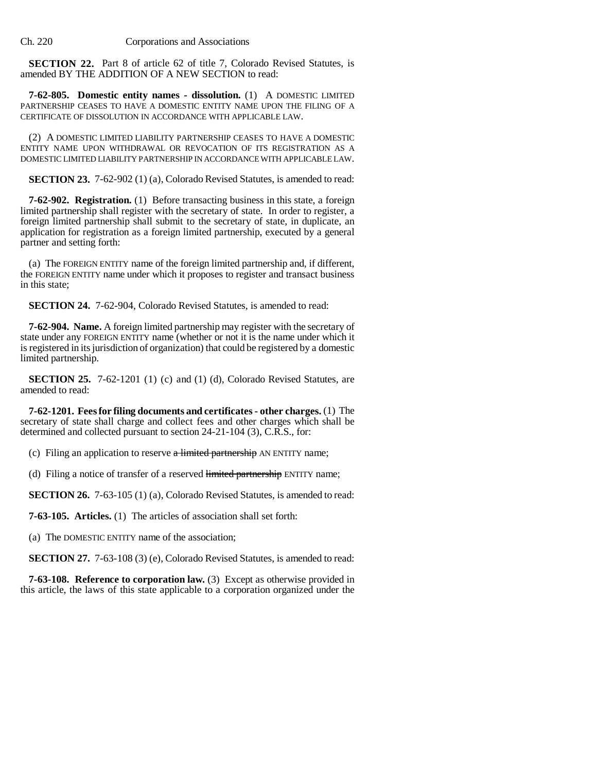**SECTION 22.** Part 8 of article 62 of title 7, Colorado Revised Statutes, is amended BY THE ADDITION OF A NEW SECTION to read:

**7-62-805. Domestic entity names - dissolution.** (1) A DOMESTIC LIMITED PARTNERSHIP CEASES TO HAVE A DOMESTIC ENTITY NAME UPON THE FILING OF A CERTIFICATE OF DISSOLUTION IN ACCORDANCE WITH APPLICABLE LAW.

(2) A DOMESTIC LIMITED LIABILITY PARTNERSHIP CEASES TO HAVE A DOMESTIC ENTITY NAME UPON WITHDRAWAL OR REVOCATION OF ITS REGISTRATION AS A DOMESTIC LIMITED LIABILITY PARTNERSHIP IN ACCORDANCE WITH APPLICABLE LAW.

**SECTION 23.** 7-62-902 (1) (a), Colorado Revised Statutes, is amended to read:

**7-62-902. Registration.** (1) Before transacting business in this state, a foreign limited partnership shall register with the secretary of state. In order to register, a foreign limited partnership shall submit to the secretary of state, in duplicate, an application for registration as a foreign limited partnership, executed by a general partner and setting forth:

(a) The FOREIGN ENTITY name of the foreign limited partnership and, if different, the FOREIGN ENTITY name under which it proposes to register and transact business in this state;

**SECTION 24.** 7-62-904, Colorado Revised Statutes, is amended to read:

**7-62-904. Name.** A foreign limited partnership may register with the secretary of state under any FOREIGN ENTITY name (whether or not it is the name under which it is registered in its jurisdiction of organization) that could be registered by a domestic limited partnership.

**SECTION 25.** 7-62-1201 (1) (c) and (1) (d), Colorado Revised Statutes, are amended to read:

**7-62-1201. Fees for filing documents and certificates - other charges.** (1) The secretary of state shall charge and collect fees and other charges which shall be determined and collected pursuant to section 24-21-104 (3), C.R.S., for:

(c) Filing an application to reserve  $\alpha$  limited partnership AN ENTITY name;

(d) Filing a notice of transfer of a reserved limited partnership ENTITY name;

**SECTION 26.** 7-63-105 (1) (a), Colorado Revised Statutes, is amended to read:

**7-63-105. Articles.** (1) The articles of association shall set forth:

(a) The DOMESTIC ENTITY name of the association;

**SECTION 27.** 7-63-108 (3) (e), Colorado Revised Statutes, is amended to read:

**7-63-108. Reference to corporation law.** (3) Except as otherwise provided in this article, the laws of this state applicable to a corporation organized under the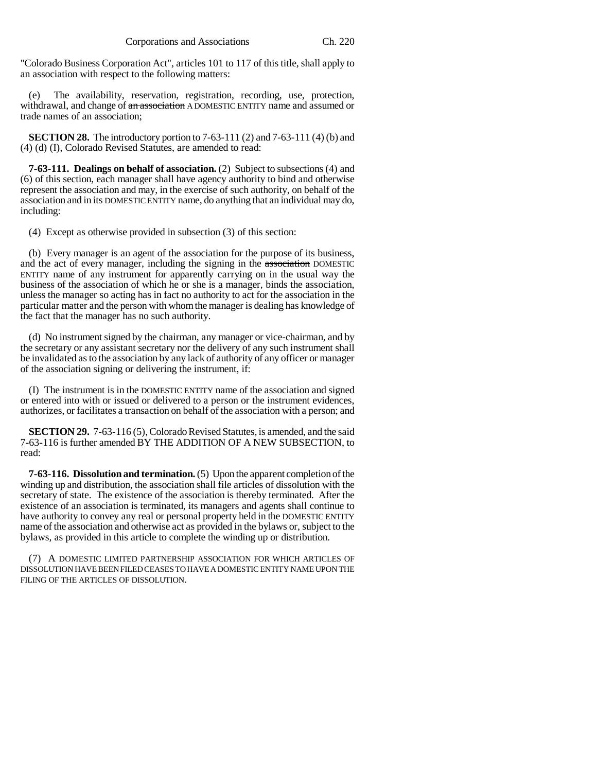"Colorado Business Corporation Act", articles 101 to 117 of this title, shall apply to an association with respect to the following matters:

(e) The availability, reservation, registration, recording, use, protection, withdrawal, and change of an association A DOMESTIC ENTITY name and assumed or trade names of an association;

**SECTION 28.** The introductory portion to 7-63-111 (2) and 7-63-111 (4) (b) and (4) (d) (I), Colorado Revised Statutes, are amended to read:

**7-63-111. Dealings on behalf of association.** (2) Subject to subsections (4) and (6) of this section, each manager shall have agency authority to bind and otherwise represent the association and may, in the exercise of such authority, on behalf of the association and in its DOMESTIC ENTITY name, do anything that an individual may do, including:

(4) Except as otherwise provided in subsection (3) of this section:

(b) Every manager is an agent of the association for the purpose of its business, and the act of every manager, including the signing in the association DOMESTIC ENTITY name of any instrument for apparently carrying on in the usual way the business of the association of which he or she is a manager, binds the association, unless the manager so acting has in fact no authority to act for the association in the particular matter and the person with whom the manager is dealing has knowledge of the fact that the manager has no such authority.

(d) No instrument signed by the chairman, any manager or vice-chairman, and by the secretary or any assistant secretary nor the delivery of any such instrument shall be invalidated as to the association by any lack of authority of any officer or manager of the association signing or delivering the instrument, if:

(I) The instrument is in the DOMESTIC ENTITY name of the association and signed or entered into with or issued or delivered to a person or the instrument evidences, authorizes, or facilitates a transaction on behalf of the association with a person; and

**SECTION 29.** 7-63-116 (5), Colorado Revised Statutes, is amended, and the said 7-63-116 is further amended BY THE ADDITION OF A NEW SUBSECTION, to read:

**7-63-116. Dissolution and termination.** (5) Upon the apparent completion of the winding up and distribution, the association shall file articles of dissolution with the secretary of state. The existence of the association is thereby terminated. After the existence of an association is terminated, its managers and agents shall continue to have authority to convey any real or personal property held in the DOMESTIC ENTITY name of the association and otherwise act as provided in the bylaws or, subject to the bylaws, as provided in this article to complete the winding up or distribution.

(7) A DOMESTIC LIMITED PARTNERSHIP ASSOCIATION FOR WHICH ARTICLES OF DISSOLUTION HAVE BEEN FILED CEASES TO HAVE A DOMESTIC ENTITY NAME UPON THE FILING OF THE ARTICLES OF DISSOLUTION.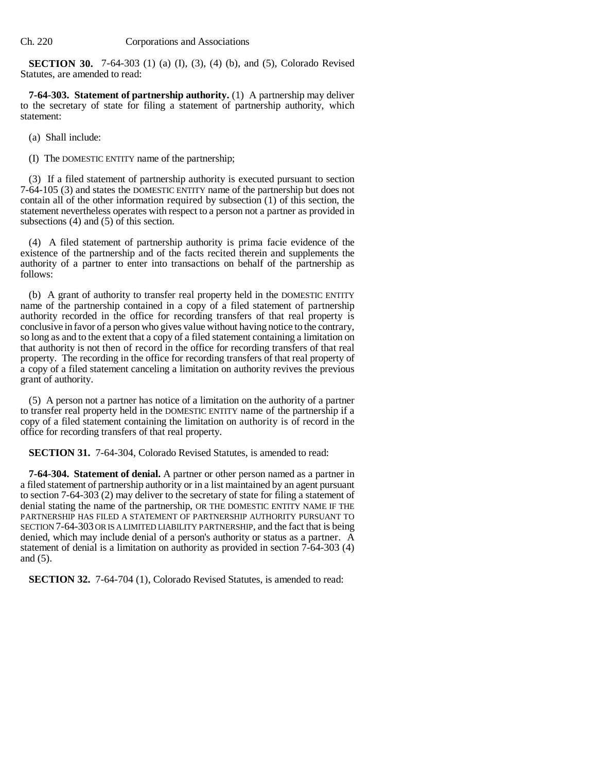**SECTION 30.** 7-64-303 (1) (a) (I), (3), (4) (b), and (5), Colorado Revised Statutes, are amended to read:

**7-64-303. Statement of partnership authority.** (1) A partnership may deliver to the secretary of state for filing a statement of partnership authority, which statement:

(a) Shall include:

(I) The DOMESTIC ENTITY name of the partnership;

(3) If a filed statement of partnership authority is executed pursuant to section 7-64-105 (3) and states the DOMESTIC ENTITY name of the partnership but does not contain all of the other information required by subsection (1) of this section, the statement nevertheless operates with respect to a person not a partner as provided in subsections (4) and (5) of this section.

(4) A filed statement of partnership authority is prima facie evidence of the existence of the partnership and of the facts recited therein and supplements the authority of a partner to enter into transactions on behalf of the partnership as follows:

(b) A grant of authority to transfer real property held in the DOMESTIC ENTITY name of the partnership contained in a copy of a filed statement of partnership authority recorded in the office for recording transfers of that real property is conclusive in favor of a person who gives value without having notice to the contrary, so long as and to the extent that a copy of a filed statement containing a limitation on that authority is not then of record in the office for recording transfers of that real property. The recording in the office for recording transfers of that real property of a copy of a filed statement canceling a limitation on authority revives the previous grant of authority.

(5) A person not a partner has notice of a limitation on the authority of a partner to transfer real property held in the DOMESTIC ENTITY name of the partnership if a copy of a filed statement containing the limitation on authority is of record in the office for recording transfers of that real property.

**SECTION 31.** 7-64-304, Colorado Revised Statutes, is amended to read:

**7-64-304. Statement of denial.** A partner or other person named as a partner in a filed statement of partnership authority or in a list maintained by an agent pursuant to section 7-64-303 (2) may deliver to the secretary of state for filing a statement of denial stating the name of the partnership, OR THE DOMESTIC ENTITY NAME IF THE PARTNERSHIP HAS FILED A STATEMENT OF PARTNERSHIP AUTHORITY PURSUANT TO SECTION 7-64-303 OR IS A LIMITED LIABILITY PARTNERSHIP, and the fact that is being denied, which may include denial of a person's authority or status as a partner. A statement of denial is a limitation on authority as provided in section 7-64-303 (4) and (5).

**SECTION 32.** 7-64-704 (1), Colorado Revised Statutes, is amended to read: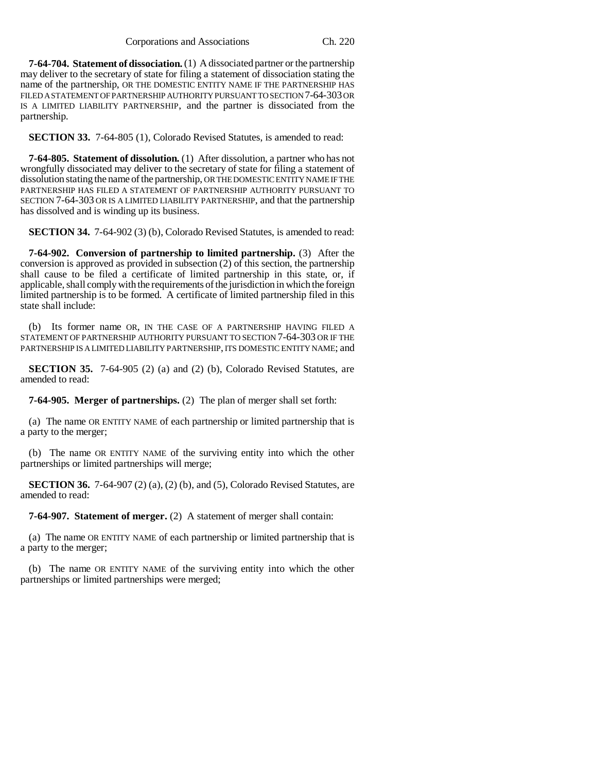**7-64-704. Statement of dissociation.** (1) A dissociated partner or the partnership may deliver to the secretary of state for filing a statement of dissociation stating the name of the partnership, OR THE DOMESTIC ENTITY NAME IF THE PARTNERSHIP HAS FILED A STATEMENT OF PARTNERSHIP AUTHORITY PURSUANT TO SECTION 7-64-303 OR IS A LIMITED LIABILITY PARTNERSHIP, and the partner is dissociated from the partnership.

**SECTION 33.** 7-64-805 (1), Colorado Revised Statutes, is amended to read:

**7-64-805. Statement of dissolution.** (1) After dissolution, a partner who has not wrongfully dissociated may deliver to the secretary of state for filing a statement of dissolution stating the name of the partnership, OR THE DOMESTIC ENTITY NAME IF THE PARTNERSHIP HAS FILED A STATEMENT OF PARTNERSHIP AUTHORITY PURSUANT TO SECTION 7-64-303 OR IS A LIMITED LIABILITY PARTNERSHIP, and that the partnership has dissolved and is winding up its business.

**SECTION 34.** 7-64-902 (3) (b), Colorado Revised Statutes, is amended to read:

**7-64-902. Conversion of partnership to limited partnership.** (3) After the conversion is approved as provided in subsection (2) of this section, the partnership shall cause to be filed a certificate of limited partnership in this state, or, if applicable, shall comply with the requirements of the jurisdiction in which the foreign limited partnership is to be formed. A certificate of limited partnership filed in this state shall include:

(b) Its former name OR, IN THE CASE OF A PARTNERSHIP HAVING FILED A STATEMENT OF PARTNERSHIP AUTHORITY PURSUANT TO SECTION 7-64-303 OR IF THE PARTNERSHIP IS A LIMITED LIABILITY PARTNERSHIP, ITS DOMESTIC ENTITY NAME; and

**SECTION 35.** 7-64-905 (2) (a) and (2) (b), Colorado Revised Statutes, are amended to read:

**7-64-905. Merger of partnerships.** (2) The plan of merger shall set forth:

(a) The name OR ENTITY NAME of each partnership or limited partnership that is a party to the merger;

(b) The name OR ENTITY NAME of the surviving entity into which the other partnerships or limited partnerships will merge;

**SECTION 36.** 7-64-907 (2) (a), (2) (b), and (5), Colorado Revised Statutes, are amended to read:

**7-64-907. Statement of merger.** (2) A statement of merger shall contain:

(a) The name OR ENTITY NAME of each partnership or limited partnership that is a party to the merger;

(b) The name OR ENTITY NAME of the surviving entity into which the other partnerships or limited partnerships were merged;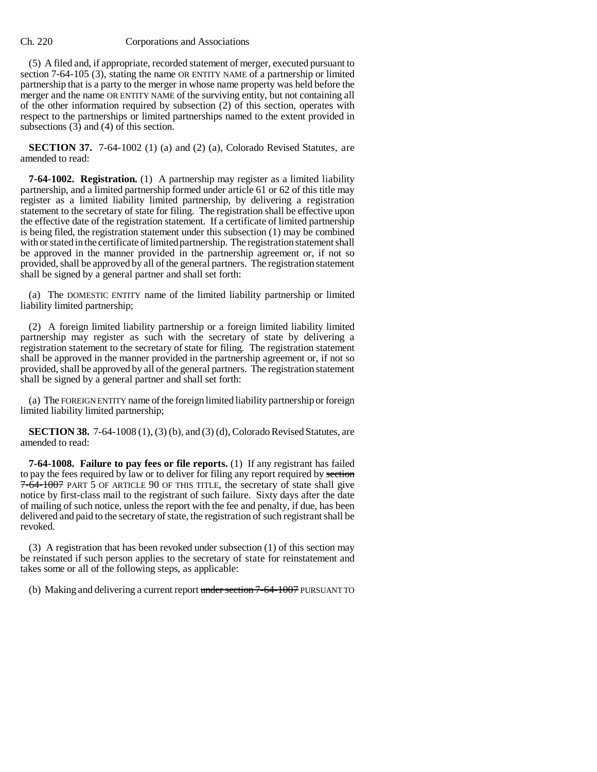(5) A filed and, if appropriate, recorded statement of merger, executed pursuant to section 7-64-105 (3), stating the name OR ENTITY NAME of a partnership or limited partnership that is a party to the merger in whose name property was held before the merger and the name OR ENTITY NAME of the surviving entity, but not containing all of the other information required by subsection (2) of this section, operates with respect to the partnerships or limited partnerships named to the extent provided in subsections (3) and (4) of this section.

**SECTION 37.** 7-64-1002 (1) (a) and (2) (a), Colorado Revised Statutes, are amended to read:

**7-64-1002. Registration.** (1) A partnership may register as a limited liability partnership, and a limited partnership formed under article 61 or 62 of this title may register as a limited liability limited partnership, by delivering a registration statement to the secretary of state for filing. The registration shall be effective upon the effective date of the registration statement. If a certificate of limited partnership is being filed, the registration statement under this subsection (1) may be combined with or stated in the certificate of limited partnership. The registration statement shall be approved in the manner provided in the partnership agreement or, if not so provided, shall be approved by all of the general partners. The registration statement shall be signed by a general partner and shall set forth:

(a) The DOMESTIC ENTITY name of the limited liability partnership or limited liability limited partnership;

(2) A foreign limited liability partnership or a foreign limited liability limited partnership may register as such with the secretary of state by delivering a registration statement to the secretary of state for filing. The registration statement shall be approved in the manner provided in the partnership agreement or, if not so provided, shall be approved by all of the general partners. The registration statement shall be signed by a general partner and shall set forth:

(a) The FOREIGN ENTITY name of the foreign limited liability partnership or foreign limited liability limited partnership;

**SECTION 38.** 7-64-1008 (1), (3) (b), and (3) (d), Colorado Revised Statutes, are amended to read:

**7-64-1008. Failure to pay fees or file reports.** (1) If any registrant has failed to pay the fees required by law or to deliver for filing any report required by section 7-64-1007 PART 5 OF ARTICLE 90 OF THIS TITLE, the secretary of state shall give notice by first-class mail to the registrant of such failure. Sixty days after the date of mailing of such notice, unless the report with the fee and penalty, if due, has been delivered and paid to the secretary of state, the registration of such registrant shall be revoked.

(3) A registration that has been revoked under subsection (1) of this section may be reinstated if such person applies to the secretary of state for reinstatement and takes some or all of the following steps, as applicable:

(b) Making and delivering a current report under section 7-64-1007 PURSUANT TO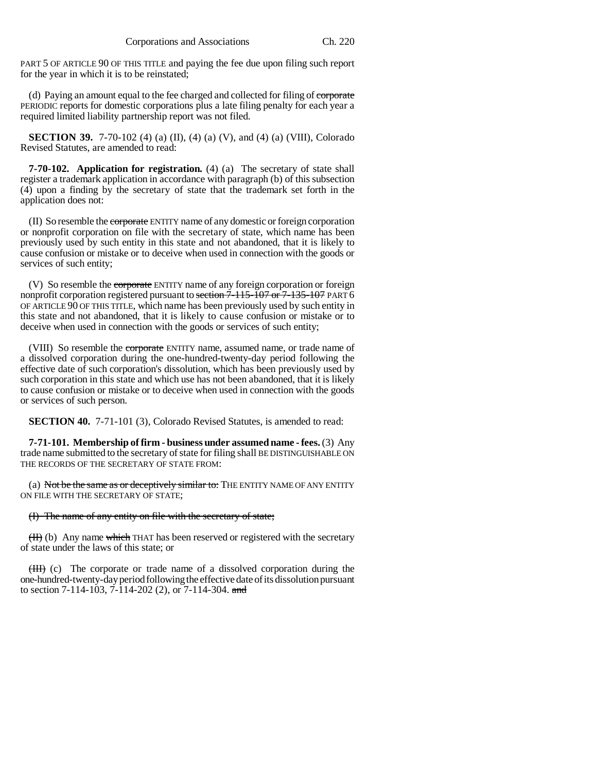PART 5 OF ARTICLE 90 OF THIS TITLE and paying the fee due upon filing such report for the year in which it is to be reinstated;

(d) Paying an amount equal to the fee charged and collected for filing of corporate PERIODIC reports for domestic corporations plus a late filing penalty for each year a required limited liability partnership report was not filed.

**SECTION 39.** 7-70-102 (4) (a) (II), (4) (a) (V), and (4) (a) (VIII), Colorado Revised Statutes, are amended to read:

**7-70-102. Application for registration.** (4) (a) The secretary of state shall register a trademark application in accordance with paragraph (b) of this subsection (4) upon a finding by the secretary of state that the trademark set forth in the application does not:

(II) So resemble the corporate ENTITY name of any domestic or foreign corporation or nonprofit corporation on file with the secretary of state, which name has been previously used by such entity in this state and not abandoned, that it is likely to cause confusion or mistake or to deceive when used in connection with the goods or services of such entity;

(V) So resemble the corporate ENTITY name of any foreign corporation or foreign nonprofit corporation registered pursuant to section  $\overline{7}$ -115-107 or  $\overline{7}$ -135-107 PART 6 OF ARTICLE 90 OF THIS TITLE, which name has been previously used by such entity in this state and not abandoned, that it is likely to cause confusion or mistake or to deceive when used in connection with the goods or services of such entity;

(VIII) So resemble the corporate ENTITY name, assumed name, or trade name of a dissolved corporation during the one-hundred-twenty-day period following the effective date of such corporation's dissolution, which has been previously used by such corporation in this state and which use has not been abandoned, that it is likely to cause confusion or mistake or to deceive when used in connection with the goods or services of such person.

**SECTION 40.** 7-71-101 (3), Colorado Revised Statutes, is amended to read:

**7-71-101. Membership of firm - business under assumed name - fees.** (3) Any trade name submitted to the secretary of state for filing shall BE DISTINGUISHABLE ON THE RECORDS OF THE SECRETARY OF STATE FROM:

(a) Not be the same as or deceptively similar to: THE ENTITY NAME OF ANY ENTITY ON FILE WITH THE SECRETARY OF STATE;

#### (I) The name of any entity on file with the secretary of state;

 $(H)$  (b) Any name which THAT has been reserved or registered with the secretary of state under the laws of this state; or

(III) (c) The corporate or trade name of a dissolved corporation during the one-hundred-twenty-day period following the effective date of its dissolution pursuant to section 7-114-103, 7-114-202 (2), or 7-114-304. and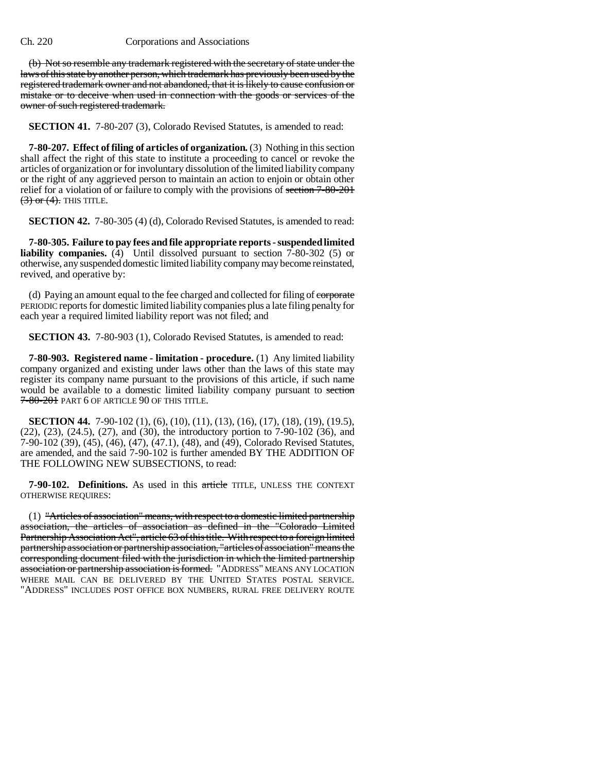(b) Not so resemble any trademark registered with the secretary of state under the laws of this state by another person, which trademark has previously been used by the registered trademark owner and not abandoned, that it is likely to cause confusion or mistake or to deceive when used in connection with the goods or services of the owner of such registered trademark.

**SECTION 41.** 7-80-207 (3), Colorado Revised Statutes, is amended to read:

**7-80-207. Effect of filing of articles of organization.** (3) Nothing in this section shall affect the right of this state to institute a proceeding to cancel or revoke the articles of organization or for involuntary dissolution of the limited liability company or the right of any aggrieved person to maintain an action to enjoin or obtain other relief for a violation of or failure to comply with the provisions of section 7-80-201  $(3)$  or  $(4)$ . This Title.

**SECTION 42.** 7-80-305 (4) (d), Colorado Revised Statutes, is amended to read:

**7-80-305. Failure to pay fees and file appropriate reports - suspended limited liability companies.** (4) Until dissolved pursuant to section 7-80-302 (5) or otherwise, any suspended domestic limited liability company may become reinstated, revived, and operative by:

(d) Paying an amount equal to the fee charged and collected for filing of corporate PERIODIC reports for domestic limited liability companies plus a late filing penalty for each year a required limited liability report was not filed; and

**SECTION 43.** 7-80-903 (1), Colorado Revised Statutes, is amended to read:

**7-80-903. Registered name - limitation - procedure.** (1) Any limited liability company organized and existing under laws other than the laws of this state may register its company name pursuant to the provisions of this article, if such name would be available to a domestic limited liability company pursuant to section 7-80-201 PART 6 OF ARTICLE 90 OF THIS TITLE.

**SECTION 44.** 7-90-102 (1), (6), (10), (11), (13), (16), (17), (18), (19), (19.5), (22), (23), (24.5), (27), and (30), the introductory portion to 7-90-102 (36), and 7-90-102 (39), (45), (46), (47), (47.1), (48), and (49), Colorado Revised Statutes, are amended, and the said 7-90-102 is further amended BY THE ADDITION OF THE FOLLOWING NEW SUBSECTIONS, to read:

**7-90-102. Definitions.** As used in this article TITLE, UNLESS THE CONTEXT OTHERWISE REQUIRES:

(1) "Articles of association" means, with respect to a domestic limited partnership association, the articles of association as defined in the "Colorado Limited Partnership Association Act", article 63 of this title. With respect to a foreign limited partnership association or partnership association, "articles of association" means the corresponding document filed with the jurisdiction in which the limited partnership association or partnership association is formed. "ADDRESS" MEANS ANY LOCATION WHERE MAIL CAN BE DELIVERED BY THE UNITED STATES POSTAL SERVICE. "ADDRESS" INCLUDES POST OFFICE BOX NUMBERS, RURAL FREE DELIVERY ROUTE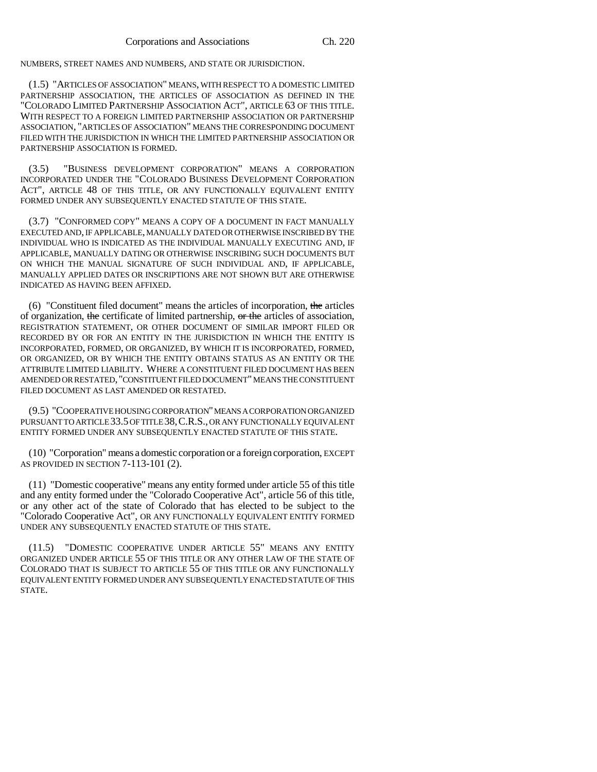NUMBERS, STREET NAMES AND NUMBERS, AND STATE OR JURISDICTION.

(1.5) "ARTICLES OF ASSOCIATION" MEANS, WITH RESPECT TO A DOMESTIC LIMITED PARTNERSHIP ASSOCIATION, THE ARTICLES OF ASSOCIATION AS DEFINED IN THE "COLORADO LIMITED PARTNERSHIP ASSOCIATION ACT", ARTICLE 63 OF THIS TITLE. WITH RESPECT TO A FOREIGN LIMITED PARTNERSHIP ASSOCIATION OR PARTNERSHIP ASSOCIATION, "ARTICLES OF ASSOCIATION" MEANS THE CORRESPONDING DOCUMENT FILED WITH THE JURISDICTION IN WHICH THE LIMITED PARTNERSHIP ASSOCIATION OR PARTNERSHIP ASSOCIATION IS FORMED.

(3.5) "BUSINESS DEVELOPMENT CORPORATION" MEANS A CORPORATION INCORPORATED UNDER THE "COLORADO BUSINESS DEVELOPMENT CORPORATION ACT", ARTICLE 48 OF THIS TITLE, OR ANY FUNCTIONALLY EQUIVALENT ENTITY FORMED UNDER ANY SUBSEQUENTLY ENACTED STATUTE OF THIS STATE.

(3.7) "CONFORMED COPY" MEANS A COPY OF A DOCUMENT IN FACT MANUALLY EXECUTED AND, IF APPLICABLE, MANUALLY DATED OR OTHERWISE INSCRIBED BY THE INDIVIDUAL WHO IS INDICATED AS THE INDIVIDUAL MANUALLY EXECUTING AND, IF APPLICABLE, MANUALLY DATING OR OTHERWISE INSCRIBING SUCH DOCUMENTS BUT ON WHICH THE MANUAL SIGNATURE OF SUCH INDIVIDUAL AND, IF APPLICABLE, MANUALLY APPLIED DATES OR INSCRIPTIONS ARE NOT SHOWN BUT ARE OTHERWISE INDICATED AS HAVING BEEN AFFIXED.

(6) "Constituent filed document" means the articles of incorporation, the articles of organization, the certificate of limited partnership, or the articles of association, REGISTRATION STATEMENT, OR OTHER DOCUMENT OF SIMILAR IMPORT FILED OR RECORDED BY OR FOR AN ENTITY IN THE JURISDICTION IN WHICH THE ENTITY IS INCORPORATED, FORMED, OR ORGANIZED, BY WHICH IT IS INCORPORATED, FORMED, OR ORGANIZED, OR BY WHICH THE ENTITY OBTAINS STATUS AS AN ENTITY OR THE ATTRIBUTE LIMITED LIABILITY. WHERE A CONSTITUENT FILED DOCUMENT HAS BEEN AMENDED OR RESTATED,"CONSTITUENT FILED DOCUMENT" MEANS THE CONSTITUENT FILED DOCUMENT AS LAST AMENDED OR RESTATED.

(9.5) "COOPERATIVE HOUSING CORPORATION" MEANS A CORPORATION ORGANIZED PURSUANT TO ARTICLE 33.5 OF TITLE 38,C.R.S., OR ANY FUNCTIONALLY EQUIVALENT ENTITY FORMED UNDER ANY SUBSEQUENTLY ENACTED STATUTE OF THIS STATE.

(10) "Corporation" means a domestic corporation or a foreign corporation, EXCEPT AS PROVIDED IN SECTION 7-113-101 (2).

(11) "Domestic cooperative" means any entity formed under article 55 of this title and any entity formed under the "Colorado Cooperative Act", article 56 of this title, or any other act of the state of Colorado that has elected to be subject to the "Colorado Cooperative Act", OR ANY FUNCTIONALLY EQUIVALENT ENTITY FORMED UNDER ANY SUBSEQUENTLY ENACTED STATUTE OF THIS STATE.

(11.5) "DOMESTIC COOPERATIVE UNDER ARTICLE 55" MEANS ANY ENTITY ORGANIZED UNDER ARTICLE 55 OF THIS TITLE OR ANY OTHER LAW OF THE STATE OF COLORADO THAT IS SUBJECT TO ARTICLE 55 OF THIS TITLE OR ANY FUNCTIONALLY EQUIVALENT ENTITY FORMED UNDER ANY SUBSEQUENTLY ENACTED STATUTE OF THIS STATE.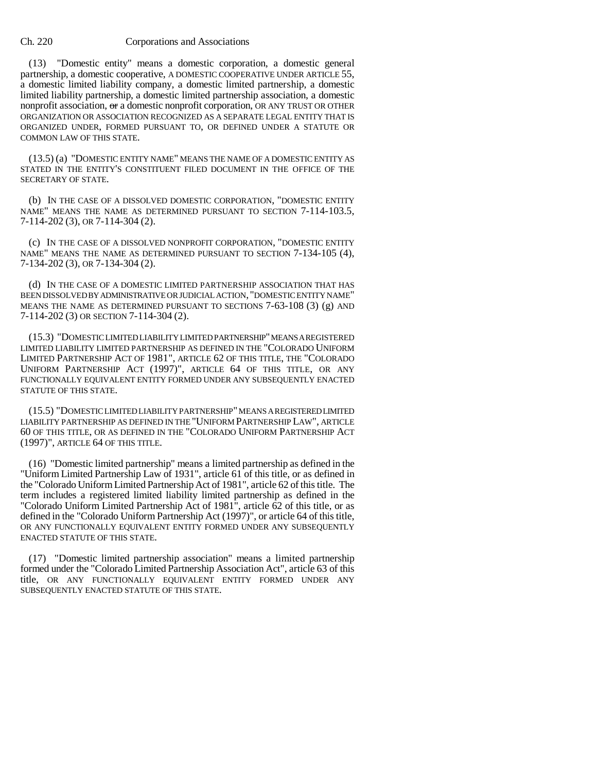(13) "Domestic entity" means a domestic corporation, a domestic general partnership, a domestic cooperative, A DOMESTIC COOPERATIVE UNDER ARTICLE 55, a domestic limited liability company, a domestic limited partnership, a domestic limited liability partnership, a domestic limited partnership association, a domestic nonprofit association,  $\Theta$  a domestic nonprofit corporation, OR ANY TRUST OR OTHER ORGANIZATION OR ASSOCIATION RECOGNIZED AS A SEPARATE LEGAL ENTITY THAT IS ORGANIZED UNDER, FORMED PURSUANT TO, OR DEFINED UNDER A STATUTE OR COMMON LAW OF THIS STATE.

(13.5) (a) "DOMESTIC ENTITY NAME" MEANS THE NAME OF A DOMESTIC ENTITY AS STATED IN THE ENTITY'S CONSTITUENT FILED DOCUMENT IN THE OFFICE OF THE SECRETARY OF STATE.

(b) IN THE CASE OF A DISSOLVED DOMESTIC CORPORATION, "DOMESTIC ENTITY NAME" MEANS THE NAME AS DETERMINED PURSUANT TO SECTION 7-114-103.5, 7-114-202 (3), OR 7-114-304 (2).

(c) IN THE CASE OF A DISSOLVED NONPROFIT CORPORATION, "DOMESTIC ENTITY NAME" MEANS THE NAME AS DETERMINED PURSUANT TO SECTION 7-134-105 (4), 7-134-202 (3), OR 7-134-304 (2).

(d) IN THE CASE OF A DOMESTIC LIMITED PARTNERSHIP ASSOCIATION THAT HAS BEEN DISSOLVED BY ADMINISTRATIVE OR JUDICIAL ACTION, "DOMESTIC ENTITY NAME" MEANS THE NAME AS DETERMINED PURSUANT TO SECTIONS 7-63-108 (3) (g) AND 7-114-202 (3) OR SECTION 7-114-304 (2).

(15.3) "DOMESTIC LIMITED LIABILITY LIMITED PARTNERSHIP" MEANS A REGISTERED LIMITED LIABILITY LIMITED PARTNERSHIP AS DEFINED IN THE "COLORADO UNIFORM LIMITED PARTNERSHIP ACT OF 1981", ARTICLE 62 OF THIS TITLE, THE "COLORADO UNIFORM PARTNERSHIP ACT (1997)", ARTICLE 64 OF THIS TITLE, OR ANY FUNCTIONALLY EQUIVALENT ENTITY FORMED UNDER ANY SUBSEQUENTLY ENACTED STATUTE OF THIS STATE.

(15.5) "DOMESTIC LIMITED LIABILITY PARTNERSHIP" MEANS A REGISTERED LIMITED LIABILITY PARTNERSHIP AS DEFINED IN THE "UNIFORM PARTNERSHIP LAW", ARTICLE 60 OF THIS TITLE, OR AS DEFINED IN THE "COLORADO UNIFORM PARTNERSHIP ACT (1997)", ARTICLE 64 OF THIS TITLE.

(16) "Domestic limited partnership" means a limited partnership as defined in the "Uniform Limited Partnership Law of 1931", article 61 of this title, or as defined in the "Colorado Uniform Limited Partnership Act of 1981", article 62 of this title. The term includes a registered limited liability limited partnership as defined in the "Colorado Uniform Limited Partnership Act of 1981", article 62 of this title, or as defined in the "Colorado Uniform Partnership Act (1997)", or article 64 of this title, OR ANY FUNCTIONALLY EQUIVALENT ENTITY FORMED UNDER ANY SUBSEQUENTLY ENACTED STATUTE OF THIS STATE.

(17) "Domestic limited partnership association" means a limited partnership formed under the "Colorado Limited Partnership Association Act", article 63 of this title, OR ANY FUNCTIONALLY EQUIVALENT ENTITY FORMED UNDER ANY SUBSEQUENTLY ENACTED STATUTE OF THIS STATE.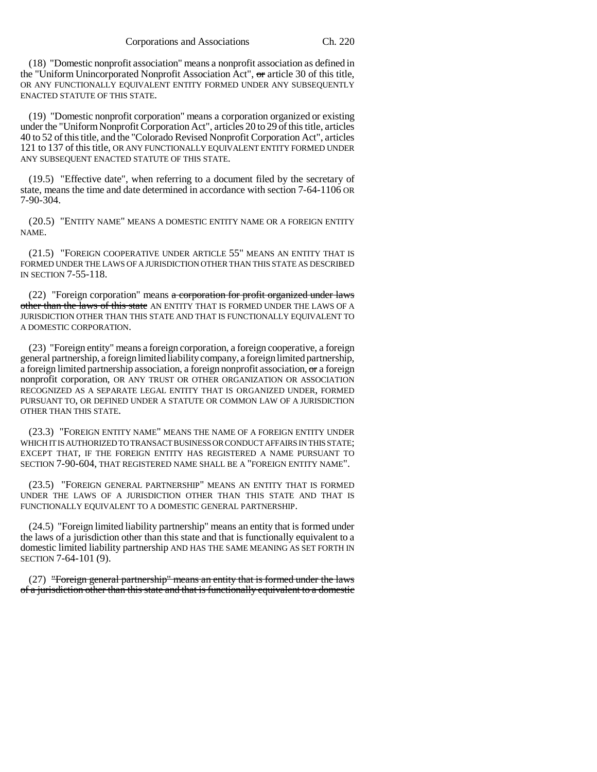(18) "Domestic nonprofit association" means a nonprofit association as defined in the "Uniform Unincorporated Nonprofit Association Act", or article 30 of this title, OR ANY FUNCTIONALLY EQUIVALENT ENTITY FORMED UNDER ANY SUBSEQUENTLY ENACTED STATUTE OF THIS STATE.

(19) "Domestic nonprofit corporation" means a corporation organized or existing under the "Uniform Nonprofit Corporation Act", articles 20 to 29 of this title, articles 40 to 52 of this title, and the "Colorado Revised Nonprofit Corporation Act", articles 121 to 137 of this title, OR ANY FUNCTIONALLY EQUIVALENT ENTITY FORMED UNDER ANY SUBSEQUENT ENACTED STATUTE OF THIS STATE.

(19.5) "Effective date", when referring to a document filed by the secretary of state, means the time and date determined in accordance with section 7-64-1106 OR 7-90-304.

(20.5) "ENTITY NAME" MEANS A DOMESTIC ENTITY NAME OR A FOREIGN ENTITY NAME.

(21.5) "FOREIGN COOPERATIVE UNDER ARTICLE 55" MEANS AN ENTITY THAT IS FORMED UNDER THE LAWS OF A JURISDICTION OTHER THAN THIS STATE AS DESCRIBED IN SECTION 7-55-118.

(22) "Foreign corporation" means a corporation for profit organized under laws other than the laws of this state AN ENTITY THAT IS FORMED UNDER THE LAWS OF A JURISDICTION OTHER THAN THIS STATE AND THAT IS FUNCTIONALLY EQUIVALENT TO A DOMESTIC CORPORATION.

(23) "Foreign entity" means a foreign corporation, a foreign cooperative, a foreign general partnership, a foreign limited liability company, a foreign limited partnership, a foreign limited partnership association, a foreign nonprofit association, or a foreign nonprofit corporation, OR ANY TRUST OR OTHER ORGANIZATION OR ASSOCIATION RECOGNIZED AS A SEPARATE LEGAL ENTITY THAT IS ORGANIZED UNDER, FORMED PURSUANT TO, OR DEFINED UNDER A STATUTE OR COMMON LAW OF A JURISDICTION OTHER THAN THIS STATE.

(23.3) "FOREIGN ENTITY NAME" MEANS THE NAME OF A FOREIGN ENTITY UNDER WHICH IT IS AUTHORIZED TO TRANSACT BUSINESS OR CONDUCT AFFAIRS IN THIS STATE; EXCEPT THAT, IF THE FOREIGN ENTITY HAS REGISTERED A NAME PURSUANT TO SECTION 7-90-604, THAT REGISTERED NAME SHALL BE A "FOREIGN ENTITY NAME".

(23.5) "FOREIGN GENERAL PARTNERSHIP" MEANS AN ENTITY THAT IS FORMED UNDER THE LAWS OF A JURISDICTION OTHER THAN THIS STATE AND THAT IS FUNCTIONALLY EQUIVALENT TO A DOMESTIC GENERAL PARTNERSHIP.

(24.5) "Foreign limited liability partnership" means an entity that is formed under the laws of a jurisdiction other than this state and that is functionally equivalent to a domestic limited liability partnership AND HAS THE SAME MEANING AS SET FORTH IN SECTION 7-64-101 (9).

(27) "Foreign general partnership" means an entity that is formed under the laws of a jurisdiction other than this state and that is functionally equivalent to a domestic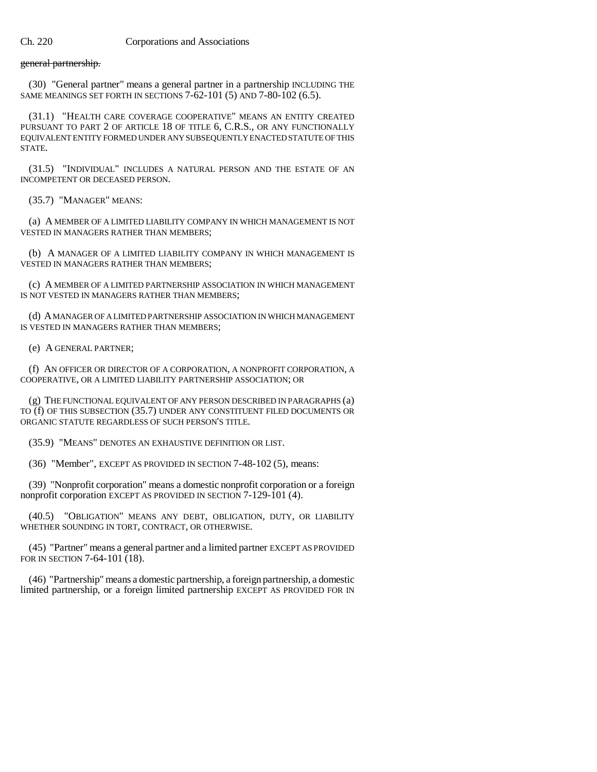## general partnership.

(30) "General partner" means a general partner in a partnership INCLUDING THE SAME MEANINGS SET FORTH IN SECTIONS 7-62-101 (5) AND 7-80-102 (6.5).

(31.1) "HEALTH CARE COVERAGE COOPERATIVE" MEANS AN ENTITY CREATED PURSUANT TO PART 2 OF ARTICLE 18 OF TITLE 6, C.R.S., OR ANY FUNCTIONALLY EQUIVALENT ENTITY FORMED UNDER ANY SUBSEQUENTLY ENACTED STATUTE OF THIS STATE.

(31.5) "INDIVIDUAL" INCLUDES A NATURAL PERSON AND THE ESTATE OF AN INCOMPETENT OR DECEASED PERSON.

(35.7) "MANAGER" MEANS:

(a) A MEMBER OF A LIMITED LIABILITY COMPANY IN WHICH MANAGEMENT IS NOT VESTED IN MANAGERS RATHER THAN MEMBERS;

(b) A MANAGER OF A LIMITED LIABILITY COMPANY IN WHICH MANAGEMENT IS VESTED IN MANAGERS RATHER THAN MEMBERS;

(c) A MEMBER OF A LIMITED PARTNERSHIP ASSOCIATION IN WHICH MANAGEMENT IS NOT VESTED IN MANAGERS RATHER THAN MEMBERS;

(d) A MANAGER OF A LIMITED PARTNERSHIP ASSOCIATION IN WHICH MANAGEMENT IS VESTED IN MANAGERS RATHER THAN MEMBERS;

(e) A GENERAL PARTNER;

(f) AN OFFICER OR DIRECTOR OF A CORPORATION, A NONPROFIT CORPORATION, A COOPERATIVE, OR A LIMITED LIABILITY PARTNERSHIP ASSOCIATION; OR

(g) THE FUNCTIONAL EQUIVALENT OF ANY PERSON DESCRIBED IN PARAGRAPHS (a) TO (f) OF THIS SUBSECTION (35.7) UNDER ANY CONSTITUENT FILED DOCUMENTS OR ORGANIC STATUTE REGARDLESS OF SUCH PERSON'S TITLE.

(35.9) "MEANS" DENOTES AN EXHAUSTIVE DEFINITION OR LIST.

(36) "Member", EXCEPT AS PROVIDED IN SECTION 7-48-102 (5), means:

(39) "Nonprofit corporation" means a domestic nonprofit corporation or a foreign nonprofit corporation EXCEPT AS PROVIDED IN SECTION 7-129-101 (4).

(40.5) "OBLIGATION" MEANS ANY DEBT, OBLIGATION, DUTY, OR LIABILITY WHETHER SOUNDING IN TORT, CONTRACT, OR OTHERWISE.

(45) "Partner" means a general partner and a limited partner EXCEPT AS PROVIDED FOR IN SECTION 7-64-101 (18).

(46) "Partnership" means a domestic partnership, a foreign partnership, a domestic limited partnership, or a foreign limited partnership EXCEPT AS PROVIDED FOR IN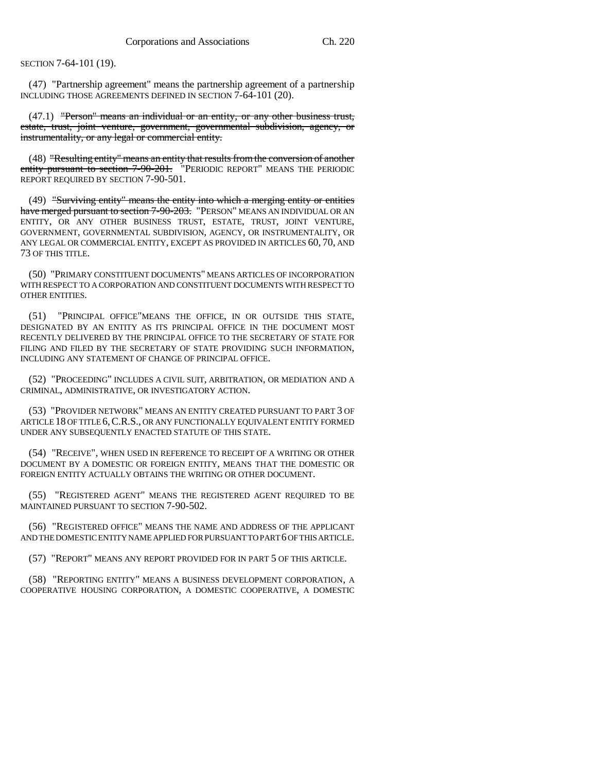SECTION 7-64-101 (19).

(47) "Partnership agreement" means the partnership agreement of a partnership INCLUDING THOSE AGREEMENTS DEFINED IN SECTION 7-64-101 (20).

 $(47.1)$  "Person" means an individual or an entity, or any other business trust, estate, trust, joint venture, government, governmental subdivision, agency, or instrumentality, or any legal or commercial entity.

(48) "Resulting entity" means an entity that results from the conversion of another entity pursuant to section 7-90-201. "PERIODIC REPORT" MEANS THE PERIODIC REPORT REQUIRED BY SECTION 7-90-501.

(49) "Surviving entity" means the entity into which a merging entity or entities <del>have merged pursuant to section 7-90-203.</del> "PERSON" MEANS AN INDIVIDUAL OR AN ENTITY, OR ANY OTHER BUSINESS TRUST, ESTATE, TRUST, JOINT VENTURE, GOVERNMENT, GOVERNMENTAL SUBDIVISION, AGENCY, OR INSTRUMENTALITY, OR ANY LEGAL OR COMMERCIAL ENTITY, EXCEPT AS PROVIDED IN ARTICLES 60, 70, AND 73 OF THIS TITLE.

(50) "PRIMARY CONSTITUENT DOCUMENTS" MEANS ARTICLES OF INCORPORATION WITH RESPECT TO A CORPORATION AND CONSTITUENT DOCUMENTS WITH RESPECT TO OTHER ENTITIES.

(51) "PRINCIPAL OFFICE"MEANS THE OFFICE, IN OR OUTSIDE THIS STATE, DESIGNATED BY AN ENTITY AS ITS PRINCIPAL OFFICE IN THE DOCUMENT MOST RECENTLY DELIVERED BY THE PRINCIPAL OFFICE TO THE SECRETARY OF STATE FOR FILING AND FILED BY THE SECRETARY OF STATE PROVIDING SUCH INFORMATION, INCLUDING ANY STATEMENT OF CHANGE OF PRINCIPAL OFFICE.

(52) "PROCEEDING" INCLUDES A CIVIL SUIT, ARBITRATION, OR MEDIATION AND A CRIMINAL, ADMINISTRATIVE, OR INVESTIGATORY ACTION.

(53) "PROVIDER NETWORK" MEANS AN ENTITY CREATED PURSUANT TO PART 3 OF ARTICLE 18 OF TITLE 6,C.R.S., OR ANY FUNCTIONALLY EQUIVALENT ENTITY FORMED UNDER ANY SUBSEQUENTLY ENACTED STATUTE OF THIS STATE.

(54) "RECEIVE", WHEN USED IN REFERENCE TO RECEIPT OF A WRITING OR OTHER DOCUMENT BY A DOMESTIC OR FOREIGN ENTITY, MEANS THAT THE DOMESTIC OR FOREIGN ENTITY ACTUALLY OBTAINS THE WRITING OR OTHER DOCUMENT.

(55) "REGISTERED AGENT" MEANS THE REGISTERED AGENT REQUIRED TO BE MAINTAINED PURSUANT TO SECTION 7-90-502.

(56) "REGISTERED OFFICE" MEANS THE NAME AND ADDRESS OF THE APPLICANT AND THE DOMESTIC ENTITY NAME APPLIED FOR PURSUANT TO PART 6 OF THIS ARTICLE.

(57) "REPORT" MEANS ANY REPORT PROVIDED FOR IN PART 5 OF THIS ARTICLE.

(58) "REPORTING ENTITY" MEANS A BUSINESS DEVELOPMENT CORPORATION, A COOPERATIVE HOUSING CORPORATION, A DOMESTIC COOPERATIVE, A DOMESTIC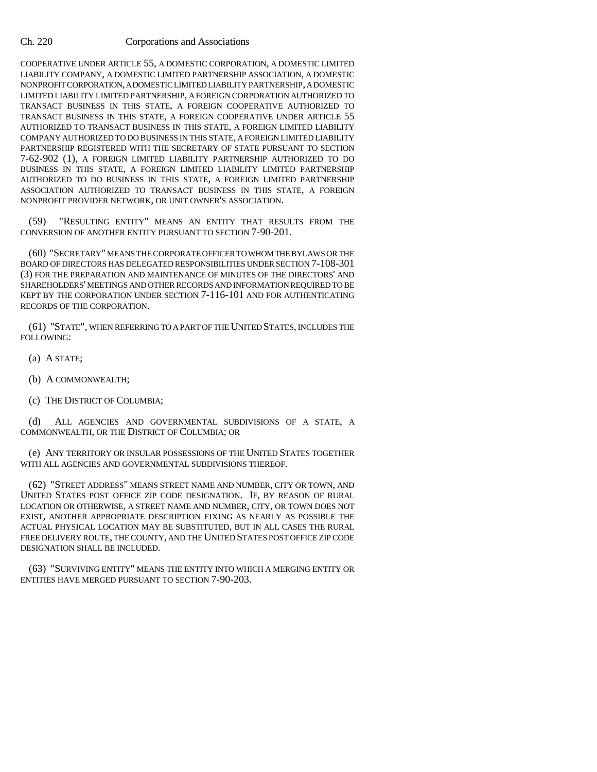COOPERATIVE UNDER ARTICLE 55, A DOMESTIC CORPORATION, A DOMESTIC LIMITED LIABILITY COMPANY, A DOMESTIC LIMITED PARTNERSHIP ASSOCIATION, A DOMESTIC NONPROFIT CORPORATION, A DOMESTIC LIMITED LIABILITY PARTNERSHIP, A DOMESTIC LIMITED LIABILITY LIMITED PARTNERSHIP, A FOREIGN CORPORATION AUTHORIZED TO TRANSACT BUSINESS IN THIS STATE, A FOREIGN COOPERATIVE AUTHORIZED TO TRANSACT BUSINESS IN THIS STATE, A FOREIGN COOPERATIVE UNDER ARTICLE 55 AUTHORIZED TO TRANSACT BUSINESS IN THIS STATE, A FOREIGN LIMITED LIABILITY COMPANY AUTHORIZED TO DO BUSINESS IN THIS STATE, A FOREIGN LIMITED LIABILITY PARTNERSHIP REGISTERED WITH THE SECRETARY OF STATE PURSUANT TO SECTION 7-62-902 (1), A FOREIGN LIMITED LIABILITY PARTNERSHIP AUTHORIZED TO DO BUSINESS IN THIS STATE, A FOREIGN LIMITED LIABILITY LIMITED PARTNERSHIP AUTHORIZED TO DO BUSINESS IN THIS STATE, A FOREIGN LIMITED PARTNERSHIP ASSOCIATION AUTHORIZED TO TRANSACT BUSINESS IN THIS STATE, A FOREIGN NONPROFIT PROVIDER NETWORK, OR UNIT OWNER'S ASSOCIATION.

(59) "RESULTING ENTITY" MEANS AN ENTITY THAT RESULTS FROM THE CONVERSION OF ANOTHER ENTITY PURSUANT TO SECTION 7-90-201.

(60) "SECRETARY" MEANS THE CORPORATE OFFICER TO WHOM THE BYLAWS OR THE BOARD OF DIRECTORS HAS DELEGATED RESPONSIBILITIES UNDER SECTION 7-108-301 (3) FOR THE PREPARATION AND MAINTENANCE OF MINUTES OF THE DIRECTORS' AND SHAREHOLDERS' MEETINGS AND OTHER RECORDS AND INFORMATION REQUIRED TO BE KEPT BY THE CORPORATION UNDER SECTION 7-116-101 AND FOR AUTHENTICATING RECORDS OF THE CORPORATION.

(61) "STATE", WHEN REFERRING TO A PART OF THE UNITED STATES, INCLUDES THE FOLLOWING:

(a) A STATE;

- (b) A COMMONWEALTH;
- (c) THE DISTRICT OF COLUMBIA;

(d) ALL AGENCIES AND GOVERNMENTAL SUBDIVISIONS OF A STATE, A COMMONWEALTH, OR THE DISTRICT OF COLUMBIA; OR

(e) ANY TERRITORY OR INSULAR POSSESSIONS OF THE UNITED STATES TOGETHER WITH ALL AGENCIES AND GOVERNMENTAL SUBDIVISIONS THEREOF.

(62) "STREET ADDRESS" MEANS STREET NAME AND NUMBER, CITY OR TOWN, AND UNITED STATES POST OFFICE ZIP CODE DESIGNATION. IF, BY REASON OF RURAL LOCATION OR OTHERWISE, A STREET NAME AND NUMBER, CITY, OR TOWN DOES NOT EXIST, ANOTHER APPROPRIATE DESCRIPTION FIXING AS NEARLY AS POSSIBLE THE ACTUAL PHYSICAL LOCATION MAY BE SUBSTITUTED, BUT IN ALL CASES THE RURAL FREE DELIVERY ROUTE, THE COUNTY, AND THE UNITED STATES POST OFFICE ZIP CODE DESIGNATION SHALL BE INCLUDED.

(63) "SURVIVING ENTITY" MEANS THE ENTITY INTO WHICH A MERGING ENTITY OR ENTITIES HAVE MERGED PURSUANT TO SECTION 7-90-203.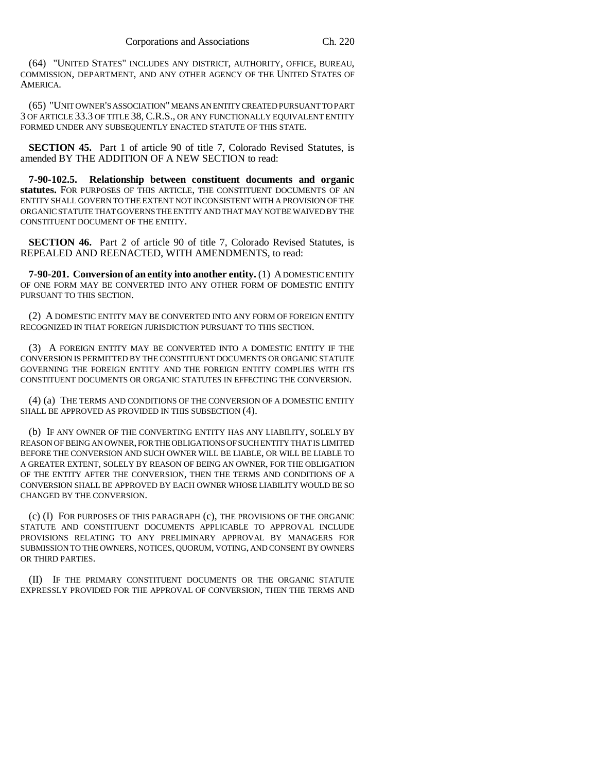(64) "UNITED STATES" INCLUDES ANY DISTRICT, AUTHORITY, OFFICE, BUREAU, COMMISSION, DEPARTMENT, AND ANY OTHER AGENCY OF THE UNITED STATES OF AMERICA.

(65) "UNIT OWNER'S ASSOCIATION" MEANS AN ENTITY CREATED PURSUANT TO PART 3 OF ARTICLE 33.3 OF TITLE 38, C.R.S., OR ANY FUNCTIONALLY EQUIVALENT ENTITY FORMED UNDER ANY SUBSEQUENTLY ENACTED STATUTE OF THIS STATE.

**SECTION 45.** Part 1 of article 90 of title 7, Colorado Revised Statutes, is amended BY THE ADDITION OF A NEW SECTION to read:

**7-90-102.5. Relationship between constituent documents and organic statutes.** FOR PURPOSES OF THIS ARTICLE, THE CONSTITUENT DOCUMENTS OF AN ENTITY SHALL GOVERN TO THE EXTENT NOT INCONSISTENT WITH A PROVISION OF THE ORGANIC STATUTE THAT GOVERNS THE ENTITY AND THAT MAY NOT BE WAIVED BY THE CONSTITUENT DOCUMENT OF THE ENTITY.

**SECTION 46.** Part 2 of article 90 of title 7, Colorado Revised Statutes, is REPEALED AND REENACTED, WITH AMENDMENTS, to read:

**7-90-201. Conversion of an entity into another entity.** (1) A DOMESTIC ENTITY OF ONE FORM MAY BE CONVERTED INTO ANY OTHER FORM OF DOMESTIC ENTITY PURSUANT TO THIS SECTION.

(2) A DOMESTIC ENTITY MAY BE CONVERTED INTO ANY FORM OF FOREIGN ENTITY RECOGNIZED IN THAT FOREIGN JURISDICTION PURSUANT TO THIS SECTION.

(3) A FOREIGN ENTITY MAY BE CONVERTED INTO A DOMESTIC ENTITY IF THE CONVERSION IS PERMITTED BY THE CONSTITUENT DOCUMENTS OR ORGANIC STATUTE GOVERNING THE FOREIGN ENTITY AND THE FOREIGN ENTITY COMPLIES WITH ITS CONSTITUENT DOCUMENTS OR ORGANIC STATUTES IN EFFECTING THE CONVERSION.

(4) (a) THE TERMS AND CONDITIONS OF THE CONVERSION OF A DOMESTIC ENTITY SHALL BE APPROVED AS PROVIDED IN THIS SUBSECTION (4).

(b) IF ANY OWNER OF THE CONVERTING ENTITY HAS ANY LIABILITY, SOLELY BY REASON OF BEING AN OWNER, FOR THE OBLIGATIONS OF SUCH ENTITY THAT IS LIMITED BEFORE THE CONVERSION AND SUCH OWNER WILL BE LIABLE, OR WILL BE LIABLE TO A GREATER EXTENT, SOLELY BY REASON OF BEING AN OWNER, FOR THE OBLIGATION OF THE ENTITY AFTER THE CONVERSION, THEN THE TERMS AND CONDITIONS OF A CONVERSION SHALL BE APPROVED BY EACH OWNER WHOSE LIABILITY WOULD BE SO CHANGED BY THE CONVERSION.

(c) (I) FOR PURPOSES OF THIS PARAGRAPH (c), THE PROVISIONS OF THE ORGANIC STATUTE AND CONSTITUENT DOCUMENTS APPLICABLE TO APPROVAL INCLUDE PROVISIONS RELATING TO ANY PRELIMINARY APPROVAL BY MANAGERS FOR SUBMISSION TO THE OWNERS, NOTICES, QUORUM, VOTING, AND CONSENT BY OWNERS OR THIRD PARTIES.

(II) IF THE PRIMARY CONSTITUENT DOCUMENTS OR THE ORGANIC STATUTE EXPRESSLY PROVIDED FOR THE APPROVAL OF CONVERSION, THEN THE TERMS AND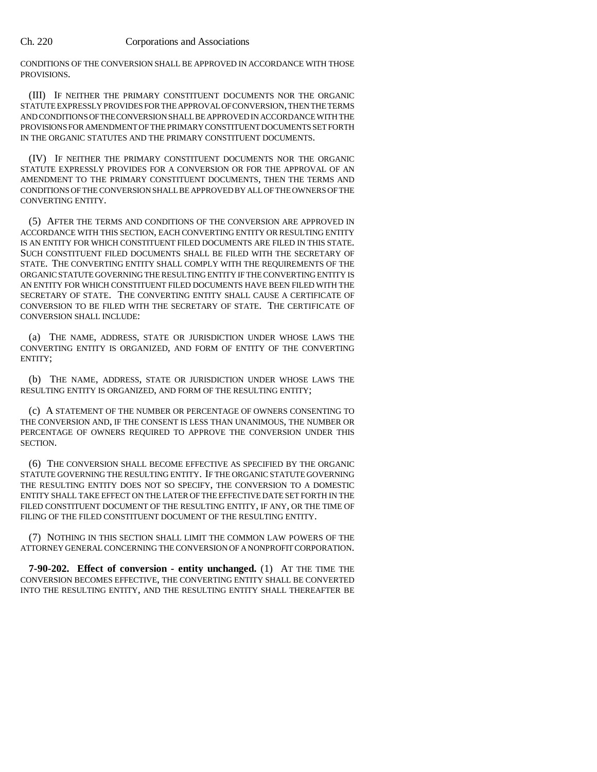CONDITIONS OF THE CONVERSION SHALL BE APPROVED IN ACCORDANCE WITH THOSE PROVISIONS.

(III) IF NEITHER THE PRIMARY CONSTITUENT DOCUMENTS NOR THE ORGANIC STATUTE EXPRESSLY PROVIDES FOR THE APPROVAL OF CONVERSION, THEN THE TERMS AND CONDITIONS OF THE CONVERSION SHALL BE APPROVED IN ACCORDANCE WITH THE PROVISIONS FOR AMENDMENT OF THE PRIMARY CONSTITUENT DOCUMENTS SET FORTH IN THE ORGANIC STATUTES AND THE PRIMARY CONSTITUENT DOCUMENTS.

(IV) IF NEITHER THE PRIMARY CONSTITUENT DOCUMENTS NOR THE ORGANIC STATUTE EXPRESSLY PROVIDES FOR A CONVERSION OR FOR THE APPROVAL OF AN AMENDMENT TO THE PRIMARY CONSTITUENT DOCUMENTS, THEN THE TERMS AND CONDITIONS OF THE CONVERSION SHALL BE APPROVED BY ALL OF THE OWNERS OF THE CONVERTING ENTITY.

(5) AFTER THE TERMS AND CONDITIONS OF THE CONVERSION ARE APPROVED IN ACCORDANCE WITH THIS SECTION, EACH CONVERTING ENTITY OR RESULTING ENTITY IS AN ENTITY FOR WHICH CONSTITUENT FILED DOCUMENTS ARE FILED IN THIS STATE. SUCH CONSTITUENT FILED DOCUMENTS SHALL BE FILED WITH THE SECRETARY OF STATE. THE CONVERTING ENTITY SHALL COMPLY WITH THE REQUIREMENTS OF THE ORGANIC STATUTE GOVERNING THE RESULTING ENTITY IF THE CONVERTING ENTITY IS AN ENTITY FOR WHICH CONSTITUENT FILED DOCUMENTS HAVE BEEN FILED WITH THE SECRETARY OF STATE. THE CONVERTING ENTITY SHALL CAUSE A CERTIFICATE OF CONVERSION TO BE FILED WITH THE SECRETARY OF STATE. THE CERTIFICATE OF CONVERSION SHALL INCLUDE:

(a) THE NAME, ADDRESS, STATE OR JURISDICTION UNDER WHOSE LAWS THE CONVERTING ENTITY IS ORGANIZED, AND FORM OF ENTITY OF THE CONVERTING ENTITY;

(b) THE NAME, ADDRESS, STATE OR JURISDICTION UNDER WHOSE LAWS THE RESULTING ENTITY IS ORGANIZED, AND FORM OF THE RESULTING ENTITY;

(c) A STATEMENT OF THE NUMBER OR PERCENTAGE OF OWNERS CONSENTING TO THE CONVERSION AND, IF THE CONSENT IS LESS THAN UNANIMOUS, THE NUMBER OR PERCENTAGE OF OWNERS REQUIRED TO APPROVE THE CONVERSION UNDER THIS **SECTION** 

(6) THE CONVERSION SHALL BECOME EFFECTIVE AS SPECIFIED BY THE ORGANIC STATUTE GOVERNING THE RESULTING ENTITY. IF THE ORGANIC STATUTE GOVERNING THE RESULTING ENTITY DOES NOT SO SPECIFY, THE CONVERSION TO A DOMESTIC ENTITY SHALL TAKE EFFECT ON THE LATER OF THE EFFECTIVE DATE SET FORTH IN THE FILED CONSTITUENT DOCUMENT OF THE RESULTING ENTITY, IF ANY, OR THE TIME OF FILING OF THE FILED CONSTITUENT DOCUMENT OF THE RESULTING ENTITY.

(7) NOTHING IN THIS SECTION SHALL LIMIT THE COMMON LAW POWERS OF THE ATTORNEY GENERAL CONCERNING THE CONVERSION OF A NONPROFIT CORPORATION.

**7-90-202. Effect of conversion - entity unchanged.** (1) AT THE TIME THE CONVERSION BECOMES EFFECTIVE, THE CONVERTING ENTITY SHALL BE CONVERTED INTO THE RESULTING ENTITY, AND THE RESULTING ENTITY SHALL THEREAFTER BE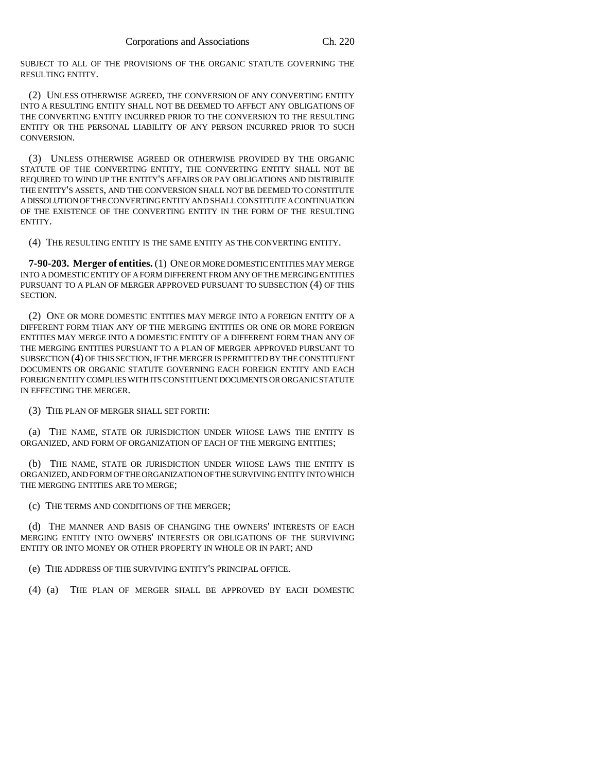SUBJECT TO ALL OF THE PROVISIONS OF THE ORGANIC STATUTE GOVERNING THE RESULTING ENTITY.

(2) UNLESS OTHERWISE AGREED, THE CONVERSION OF ANY CONVERTING ENTITY INTO A RESULTING ENTITY SHALL NOT BE DEEMED TO AFFECT ANY OBLIGATIONS OF THE CONVERTING ENTITY INCURRED PRIOR TO THE CONVERSION TO THE RESULTING ENTITY OR THE PERSONAL LIABILITY OF ANY PERSON INCURRED PRIOR TO SUCH **CONVERSION** 

(3) UNLESS OTHERWISE AGREED OR OTHERWISE PROVIDED BY THE ORGANIC STATUTE OF THE CONVERTING ENTITY, THE CONVERTING ENTITY SHALL NOT BE REQUIRED TO WIND UP THE ENTITY'S AFFAIRS OR PAY OBLIGATIONS AND DISTRIBUTE THE ENTITY'S ASSETS, AND THE CONVERSION SHALL NOT BE DEEMED TO CONSTITUTE A DISSOLUTION OF THE CONVERTING ENTITY AND SHALL CONSTITUTE A CONTINUATION OF THE EXISTENCE OF THE CONVERTING ENTITY IN THE FORM OF THE RESULTING ENTITY.

(4) THE RESULTING ENTITY IS THE SAME ENTITY AS THE CONVERTING ENTITY.

**7-90-203. Merger of entities.** (1) ONE OR MORE DOMESTIC ENTITIES MAY MERGE INTO A DOMESTIC ENTITY OF A FORM DIFFERENT FROM ANY OF THE MERGING ENTITIES PURSUANT TO A PLAN OF MERGER APPROVED PURSUANT TO SUBSECTION (4) OF THIS SECTION.

(2) ONE OR MORE DOMESTIC ENTITIES MAY MERGE INTO A FOREIGN ENTITY OF A DIFFERENT FORM THAN ANY OF THE MERGING ENTITIES OR ONE OR MORE FOREIGN ENTITIES MAY MERGE INTO A DOMESTIC ENTITY OF A DIFFERENT FORM THAN ANY OF THE MERGING ENTITIES PURSUANT TO A PLAN OF MERGER APPROVED PURSUANT TO SUBSECTION (4) OF THIS SECTION, IF THE MERGER IS PERMITTED BY THE CONSTITUENT DOCUMENTS OR ORGANIC STATUTE GOVERNING EACH FOREIGN ENTITY AND EACH FOREIGN ENTITY COMPLIES WITH ITS CONSTITUENT DOCUMENTS OR ORGANIC STATUTE IN EFFECTING THE MERGER.

(3) THE PLAN OF MERGER SHALL SET FORTH:

(a) THE NAME, STATE OR JURISDICTION UNDER WHOSE LAWS THE ENTITY IS ORGANIZED, AND FORM OF ORGANIZATION OF EACH OF THE MERGING ENTITIES;

(b) THE NAME, STATE OR JURISDICTION UNDER WHOSE LAWS THE ENTITY IS ORGANIZED, AND FORM OF THE ORGANIZATION OF THE SURVIVING ENTITY INTO WHICH THE MERGING ENTITIES ARE TO MERGE;

(c) THE TERMS AND CONDITIONS OF THE MERGER;

(d) THE MANNER AND BASIS OF CHANGING THE OWNERS' INTERESTS OF EACH MERGING ENTITY INTO OWNERS' INTERESTS OR OBLIGATIONS OF THE SURVIVING ENTITY OR INTO MONEY OR OTHER PROPERTY IN WHOLE OR IN PART; AND

(e) THE ADDRESS OF THE SURVIVING ENTITY'S PRINCIPAL OFFICE.

(4) (a) THE PLAN OF MERGER SHALL BE APPROVED BY EACH DOMESTIC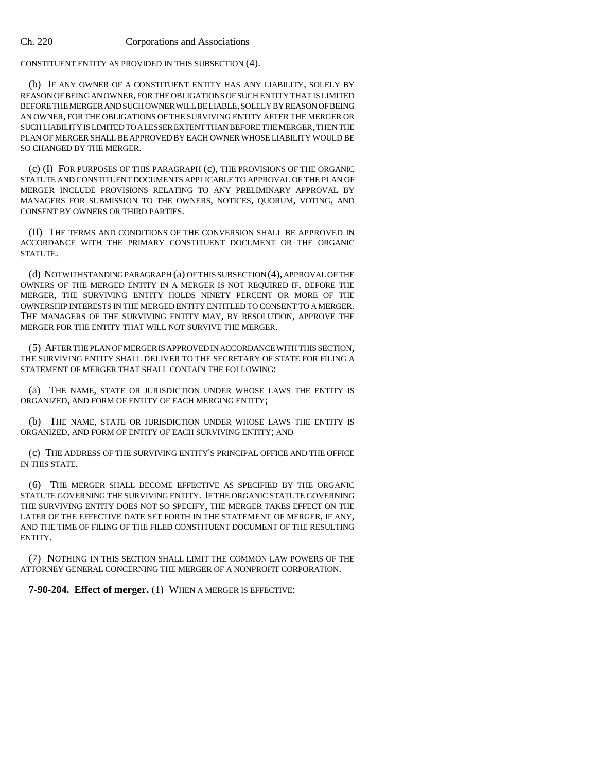CONSTITUENT ENTITY AS PROVIDED IN THIS SUBSECTION (4).

(b) IF ANY OWNER OF A CONSTITUENT ENTITY HAS ANY LIABILITY, SOLELY BY REASON OF BEING AN OWNER, FOR THE OBLIGATIONS OF SUCH ENTITY THAT IS LIMITED BEFORE THE MERGER AND SUCH OWNER WILL BE LIABLE, SOLELY BY REASON OF BEING AN OWNER, FOR THE OBLIGATIONS OF THE SURVIVING ENTITY AFTER THE MERGER OR SUCH LIABILITY IS LIMITED TO A LESSER EXTENT THAN BEFORE THE MERGER, THEN THE PLAN OF MERGER SHALL BE APPROVED BY EACH OWNER WHOSE LIABILITY WOULD BE SO CHANGED BY THE MERGER.

(c) (I) FOR PURPOSES OF THIS PARAGRAPH (c), THE PROVISIONS OF THE ORGANIC STATUTE AND CONSTITUENT DOCUMENTS APPLICABLE TO APPROVAL OF THE PLAN OF MERGER INCLUDE PROVISIONS RELATING TO ANY PRELIMINARY APPROVAL BY MANAGERS FOR SUBMISSION TO THE OWNERS, NOTICES, QUORUM, VOTING, AND CONSENT BY OWNERS OR THIRD PARTIES.

(II) THE TERMS AND CONDITIONS OF THE CONVERSION SHALL BE APPROVED IN ACCORDANCE WITH THE PRIMARY CONSTITUENT DOCUMENT OR THE ORGANIC STATUTE.

(d) NOTWITHSTANDING PARAGRAPH (a) OF THIS SUBSECTION (4), APPROVAL OF THE OWNERS OF THE MERGED ENTITY IN A MERGER IS NOT REQUIRED IF, BEFORE THE MERGER, THE SURVIVING ENTITY HOLDS NINETY PERCENT OR MORE OF THE OWNERSHIP INTERESTS IN THE MERGED ENTITY ENTITLED TO CONSENT TO A MERGER. THE MANAGERS OF THE SURVIVING ENTITY MAY, BY RESOLUTION, APPROVE THE MERGER FOR THE ENTITY THAT WILL NOT SURVIVE THE MERGER.

(5) AFTER THE PLAN OF MERGER IS APPROVED IN ACCORDANCE WITH THIS SECTION, THE SURVIVING ENTITY SHALL DELIVER TO THE SECRETARY OF STATE FOR FILING A STATEMENT OF MERGER THAT SHALL CONTAIN THE FOLLOWING:

(a) THE NAME, STATE OR JURISDICTION UNDER WHOSE LAWS THE ENTITY IS ORGANIZED, AND FORM OF ENTITY OF EACH MERGING ENTITY;

(b) THE NAME, STATE OR JURISDICTION UNDER WHOSE LAWS THE ENTITY IS ORGANIZED, AND FORM OF ENTITY OF EACH SURVIVING ENTITY; AND

(c) THE ADDRESS OF THE SURVIVING ENTITY'S PRINCIPAL OFFICE AND THE OFFICE IN THIS STATE.

(6) THE MERGER SHALL BECOME EFFECTIVE AS SPECIFIED BY THE ORGANIC STATUTE GOVERNING THE SURVIVING ENTITY. IF THE ORGANIC STATUTE GOVERNING THE SURVIVING ENTITY DOES NOT SO SPECIFY, THE MERGER TAKES EFFECT ON THE LATER OF THE EFFECTIVE DATE SET FORTH IN THE STATEMENT OF MERGER, IF ANY, AND THE TIME OF FILING OF THE FILED CONSTITUENT DOCUMENT OF THE RESULTING ENTITY.

(7) NOTHING IN THIS SECTION SHALL LIMIT THE COMMON LAW POWERS OF THE ATTORNEY GENERAL CONCERNING THE MERGER OF A NONPROFIT CORPORATION.

**7-90-204. Effect of merger.** (1) WHEN A MERGER IS EFFECTIVE: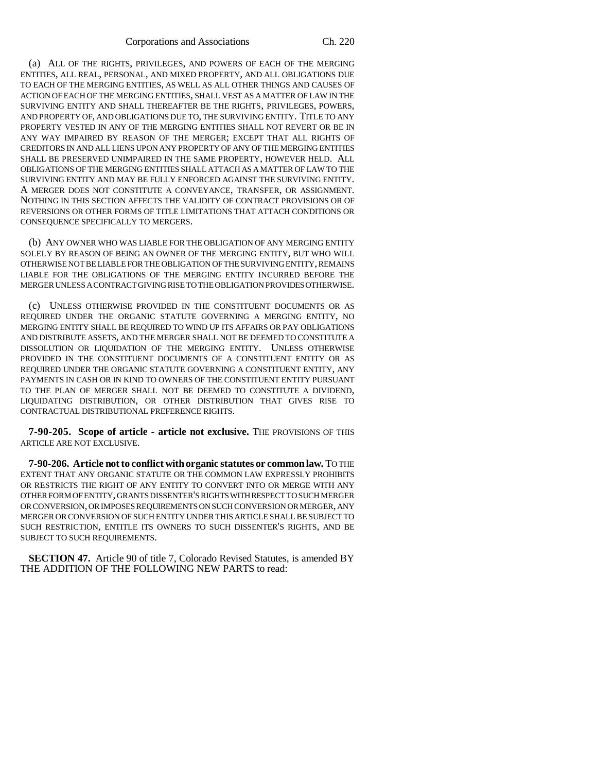(a) ALL OF THE RIGHTS, PRIVILEGES, AND POWERS OF EACH OF THE MERGING ENTITIES, ALL REAL, PERSONAL, AND MIXED PROPERTY, AND ALL OBLIGATIONS DUE TO EACH OF THE MERGING ENTITIES, AS WELL AS ALL OTHER THINGS AND CAUSES OF ACTION OF EACH OF THE MERGING ENTITIES, SHALL VEST AS A MATTER OF LAW IN THE SURVIVING ENTITY AND SHALL THEREAFTER BE THE RIGHTS, PRIVILEGES, POWERS, AND PROPERTY OF, AND OBLIGATIONS DUE TO, THE SURVIVING ENTITY. TITLE TO ANY PROPERTY VESTED IN ANY OF THE MERGING ENTITIES SHALL NOT REVERT OR BE IN ANY WAY IMPAIRED BY REASON OF THE MERGER; EXCEPT THAT ALL RIGHTS OF CREDITORS IN AND ALL LIENS UPON ANY PROPERTY OF ANY OF THE MERGING ENTITIES SHALL BE PRESERVED UNIMPAIRED IN THE SAME PROPERTY, HOWEVER HELD. ALL OBLIGATIONS OF THE MERGING ENTITIES SHALL ATTACH AS A MATTER OF LAW TO THE SURVIVING ENTITY AND MAY BE FULLY ENFORCED AGAINST THE SURVIVING ENTITY. A MERGER DOES NOT CONSTITUTE A CONVEYANCE, TRANSFER, OR ASSIGNMENT. NOTHING IN THIS SECTION AFFECTS THE VALIDITY OF CONTRACT PROVISIONS OR OF REVERSIONS OR OTHER FORMS OF TITLE LIMITATIONS THAT ATTACH CONDITIONS OR CONSEQUENCE SPECIFICALLY TO MERGERS.

(b) ANY OWNER WHO WAS LIABLE FOR THE OBLIGATION OF ANY MERGING ENTITY SOLELY BY REASON OF BEING AN OWNER OF THE MERGING ENTITY, BUT WHO WILL OTHERWISE NOT BE LIABLE FOR THE OBLIGATION OF THE SURVIVING ENTITY, REMAINS LIABLE FOR THE OBLIGATIONS OF THE MERGING ENTITY INCURRED BEFORE THE MERGER UNLESS A CONTRACT GIVING RISE TO THE OBLIGATION PROVIDES OTHERWISE.

(c) UNLESS OTHERWISE PROVIDED IN THE CONSTITUENT DOCUMENTS OR AS REQUIRED UNDER THE ORGANIC STATUTE GOVERNING A MERGING ENTITY, NO MERGING ENTITY SHALL BE REQUIRED TO WIND UP ITS AFFAIRS OR PAY OBLIGATIONS AND DISTRIBUTE ASSETS, AND THE MERGER SHALL NOT BE DEEMED TO CONSTITUTE A DISSOLUTION OR LIQUIDATION OF THE MERGING ENTITY. UNLESS OTHERWISE PROVIDED IN THE CONSTITUENT DOCUMENTS OF A CONSTITUENT ENTITY OR AS REQUIRED UNDER THE ORGANIC STATUTE GOVERNING A CONSTITUENT ENTITY, ANY PAYMENTS IN CASH OR IN KIND TO OWNERS OF THE CONSTITUENT ENTITY PURSUANT TO THE PLAN OF MERGER SHALL NOT BE DEEMED TO CONSTITUTE A DIVIDEND, LIQUIDATING DISTRIBUTION, OR OTHER DISTRIBUTION THAT GIVES RISE TO CONTRACTUAL DISTRIBUTIONAL PREFERENCE RIGHTS.

**7-90-205. Scope of article - article not exclusive.** THE PROVISIONS OF THIS ARTICLE ARE NOT EXCLUSIVE.

**7-90-206. Article not to conflict with organic statutes or common law.** TO THE EXTENT THAT ANY ORGANIC STATUTE OR THE COMMON LAW EXPRESSLY PROHIBITS OR RESTRICTS THE RIGHT OF ANY ENTITY TO CONVERT INTO OR MERGE WITH ANY OTHER FORM OF ENTITY, GRANTS DISSENTER'S RIGHTS WITH RESPECT TO SUCH MERGER OR CONVERSION, OR IMPOSES REQUIREMENTS ON SUCH CONVERSION OR MERGER, ANY MERGER OR CONVERSION OF SUCH ENTITY UNDER THIS ARTICLE SHALL BE SUBJECT TO SUCH RESTRICTION, ENTITLE ITS OWNERS TO SUCH DISSENTER'S RIGHTS, AND BE SUBJECT TO SUCH REQUIREMENTS.

**SECTION 47.** Article 90 of title 7, Colorado Revised Statutes, is amended BY THE ADDITION OF THE FOLLOWING NEW PARTS to read: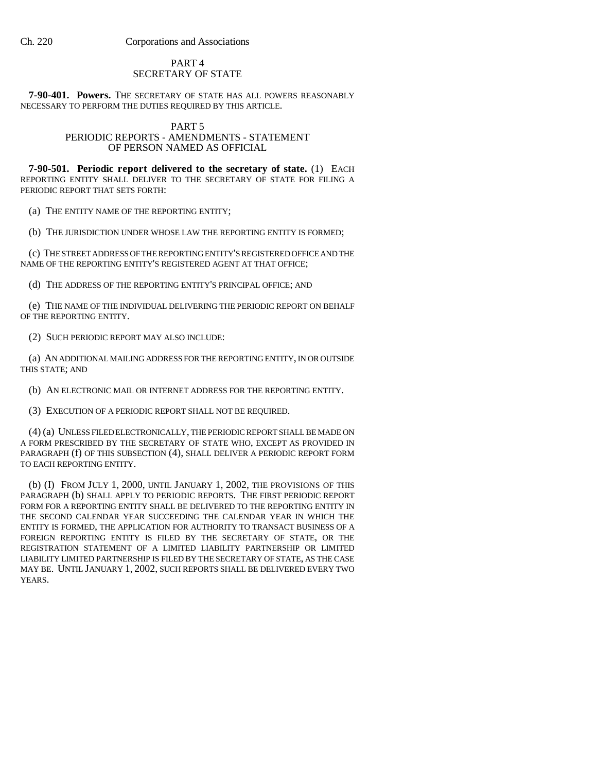# PART 4 SECRETARY OF STATE

**7-90-401. Powers.** THE SECRETARY OF STATE HAS ALL POWERS REASONABLY NECESSARY TO PERFORM THE DUTIES REQUIRED BY THIS ARTICLE.

## PART 5 PERIODIC REPORTS - AMENDMENTS - STATEMENT OF PERSON NAMED AS OFFICIAL

**7-90-501. Periodic report delivered to the secretary of state.** (1) EACH REPORTING ENTITY SHALL DELIVER TO THE SECRETARY OF STATE FOR FILING A PERIODIC REPORT THAT SETS FORTH:

(a) THE ENTITY NAME OF THE REPORTING ENTITY;

(b) THE JURISDICTION UNDER WHOSE LAW THE REPORTING ENTITY IS FORMED;

(c) THE STREET ADDRESS OF THE REPORTING ENTITY'S REGISTERED OFFICE AND THE NAME OF THE REPORTING ENTITY'S REGISTERED AGENT AT THAT OFFICE;

(d) THE ADDRESS OF THE REPORTING ENTITY'S PRINCIPAL OFFICE; AND

(e) THE NAME OF THE INDIVIDUAL DELIVERING THE PERIODIC REPORT ON BEHALF OF THE REPORTING ENTITY.

(2) SUCH PERIODIC REPORT MAY ALSO INCLUDE:

(a) AN ADDITIONAL MAILING ADDRESS FOR THE REPORTING ENTITY, IN OR OUTSIDE THIS STATE; AND

(b) AN ELECTRONIC MAIL OR INTERNET ADDRESS FOR THE REPORTING ENTITY.

(3) EXECUTION OF A PERIODIC REPORT SHALL NOT BE REQUIRED.

(4) (a) UNLESS FILED ELECTRONICALLY, THE PERIODIC REPORT SHALL BE MADE ON A FORM PRESCRIBED BY THE SECRETARY OF STATE WHO, EXCEPT AS PROVIDED IN PARAGRAPH (f) OF THIS SUBSECTION (4), SHALL DELIVER A PERIODIC REPORT FORM TO EACH REPORTING ENTITY.

(b) (I) FROM JULY 1, 2000, UNTIL JANUARY 1, 2002, THE PROVISIONS OF THIS PARAGRAPH (b) SHALL APPLY TO PERIODIC REPORTS. THE FIRST PERIODIC REPORT FORM FOR A REPORTING ENTITY SHALL BE DELIVERED TO THE REPORTING ENTITY IN THE SECOND CALENDAR YEAR SUCCEEDING THE CALENDAR YEAR IN WHICH THE ENTITY IS FORMED, THE APPLICATION FOR AUTHORITY TO TRANSACT BUSINESS OF A FOREIGN REPORTING ENTITY IS FILED BY THE SECRETARY OF STATE, OR THE REGISTRATION STATEMENT OF A LIMITED LIABILITY PARTNERSHIP OR LIMITED LIABILITY LIMITED PARTNERSHIP IS FILED BY THE SECRETARY OF STATE, AS THE CASE MAY BE. UNTIL JANUARY 1, 2002, SUCH REPORTS SHALL BE DELIVERED EVERY TWO YEARS.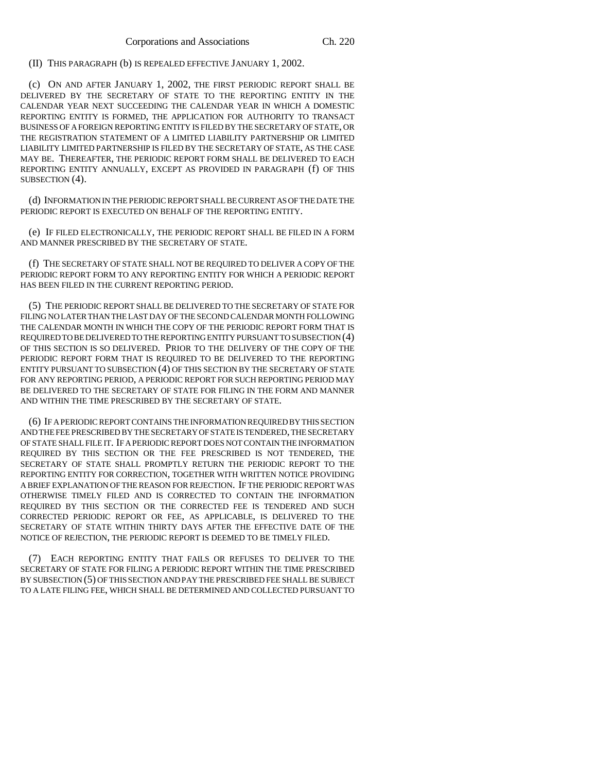(II) THIS PARAGRAPH (b) IS REPEALED EFFECTIVE JANUARY 1, 2002.

(c) ON AND AFTER JANUARY 1, 2002, THE FIRST PERIODIC REPORT SHALL BE DELIVERED BY THE SECRETARY OF STATE TO THE REPORTING ENTITY IN THE CALENDAR YEAR NEXT SUCCEEDING THE CALENDAR YEAR IN WHICH A DOMESTIC REPORTING ENTITY IS FORMED, THE APPLICATION FOR AUTHORITY TO TRANSACT BUSINESS OF A FOREIGN REPORTING ENTITY IS FILED BY THE SECRETARY OF STATE, OR THE REGISTRATION STATEMENT OF A LIMITED LIABILITY PARTNERSHIP OR LIMITED LIABILITY LIMITED PARTNERSHIP IS FILED BY THE SECRETARY OF STATE, AS THE CASE MAY BE. THEREAFTER, THE PERIODIC REPORT FORM SHALL BE DELIVERED TO EACH REPORTING ENTITY ANNUALLY, EXCEPT AS PROVIDED IN PARAGRAPH (f) OF THIS SUBSECTION (4).

(d) INFORMATION IN THE PERIODIC REPORT SHALL BE CURRENT AS OF THE DATE THE PERIODIC REPORT IS EXECUTED ON BEHALF OF THE REPORTING ENTITY.

(e) IF FILED ELECTRONICALLY, THE PERIODIC REPORT SHALL BE FILED IN A FORM AND MANNER PRESCRIBED BY THE SECRETARY OF STATE.

(f) THE SECRETARY OF STATE SHALL NOT BE REQUIRED TO DELIVER A COPY OF THE PERIODIC REPORT FORM TO ANY REPORTING ENTITY FOR WHICH A PERIODIC REPORT HAS BEEN FILED IN THE CURRENT REPORTING PERIOD.

(5) THE PERIODIC REPORT SHALL BE DELIVERED TO THE SECRETARY OF STATE FOR FILING NO LATER THAN THE LAST DAY OF THE SECOND CALENDAR MONTH FOLLOWING THE CALENDAR MONTH IN WHICH THE COPY OF THE PERIODIC REPORT FORM THAT IS REQUIRED TO BE DELIVERED TO THE REPORTING ENTITY PURSUANT TO SUBSECTION (4) OF THIS SECTION IS SO DELIVERED. PRIOR TO THE DELIVERY OF THE COPY OF THE PERIODIC REPORT FORM THAT IS REQUIRED TO BE DELIVERED TO THE REPORTING ENTITY PURSUANT TO SUBSECTION (4) OF THIS SECTION BY THE SECRETARY OF STATE FOR ANY REPORTING PERIOD, A PERIODIC REPORT FOR SUCH REPORTING PERIOD MAY BE DELIVERED TO THE SECRETARY OF STATE FOR FILING IN THE FORM AND MANNER AND WITHIN THE TIME PRESCRIBED BY THE SECRETARY OF STATE.

(6) IF A PERIODIC REPORT CONTAINS THE INFORMATION REQUIRED BY THIS SECTION AND THE FEE PRESCRIBED BY THE SECRETARY OF STATE IS TENDERED, THE SECRETARY OF STATE SHALL FILE IT. IF A PERIODIC REPORT DOES NOT CONTAIN THE INFORMATION REQUIRED BY THIS SECTION OR THE FEE PRESCRIBED IS NOT TENDERED, THE SECRETARY OF STATE SHALL PROMPTLY RETURN THE PERIODIC REPORT TO THE REPORTING ENTITY FOR CORRECTION, TOGETHER WITH WRITTEN NOTICE PROVIDING A BRIEF EXPLANATION OF THE REASON FOR REJECTION. IF THE PERIODIC REPORT WAS OTHERWISE TIMELY FILED AND IS CORRECTED TO CONTAIN THE INFORMATION REQUIRED BY THIS SECTION OR THE CORRECTED FEE IS TENDERED AND SUCH CORRECTED PERIODIC REPORT OR FEE, AS APPLICABLE, IS DELIVERED TO THE SECRETARY OF STATE WITHIN THIRTY DAYS AFTER THE EFFECTIVE DATE OF THE NOTICE OF REJECTION, THE PERIODIC REPORT IS DEEMED TO BE TIMELY FILED.

(7) EACH REPORTING ENTITY THAT FAILS OR REFUSES TO DELIVER TO THE SECRETARY OF STATE FOR FILING A PERIODIC REPORT WITHIN THE TIME PRESCRIBED BY SUBSECTION (5) OF THIS SECTION AND PAY THE PRESCRIBED FEE SHALL BE SUBJECT TO A LATE FILING FEE, WHICH SHALL BE DETERMINED AND COLLECTED PURSUANT TO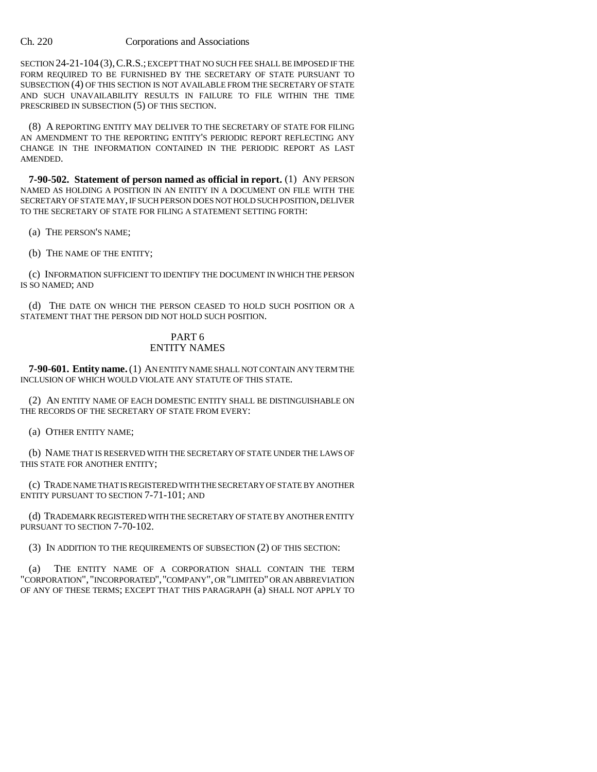SECTION 24-21-104 (3), C.R.S.; EXCEPT THAT NO SUCH FEE SHALL BE IMPOSED IF THE FORM REQUIRED TO BE FURNISHED BY THE SECRETARY OF STATE PURSUANT TO SUBSECTION (4) OF THIS SECTION IS NOT AVAILABLE FROM THE SECRETARY OF STATE AND SUCH UNAVAILABILITY RESULTS IN FAILURE TO FILE WITHIN THE TIME PRESCRIBED IN SUBSECTION (5) OF THIS SECTION.

(8) A REPORTING ENTITY MAY DELIVER TO THE SECRETARY OF STATE FOR FILING AN AMENDMENT TO THE REPORTING ENTITY'S PERIODIC REPORT REFLECTING ANY CHANGE IN THE INFORMATION CONTAINED IN THE PERIODIC REPORT AS LAST AMENDED.

**7-90-502. Statement of person named as official in report.** (1) ANY PERSON NAMED AS HOLDING A POSITION IN AN ENTITY IN A DOCUMENT ON FILE WITH THE SECRETARY OF STATE MAY, IF SUCH PERSON DOES NOT HOLD SUCH POSITION, DELIVER TO THE SECRETARY OF STATE FOR FILING A STATEMENT SETTING FORTH:

(a) THE PERSON'S NAME;

(b) THE NAME OF THE ENTITY;

(c) INFORMATION SUFFICIENT TO IDENTIFY THE DOCUMENT IN WHICH THE PERSON IS SO NAMED; AND

(d) THE DATE ON WHICH THE PERSON CEASED TO HOLD SUCH POSITION OR A STATEMENT THAT THE PERSON DID NOT HOLD SUCH POSITION.

# PART 6 ENTITY NAMES

**7-90-601. Entity name.** (1) AN ENTITY NAME SHALL NOT CONTAIN ANY TERM THE INCLUSION OF WHICH WOULD VIOLATE ANY STATUTE OF THIS STATE.

(2) AN ENTITY NAME OF EACH DOMESTIC ENTITY SHALL BE DISTINGUISHABLE ON THE RECORDS OF THE SECRETARY OF STATE FROM EVERY:

(a) OTHER ENTITY NAME;

(b) NAME THAT IS RESERVED WITH THE SECRETARY OF STATE UNDER THE LAWS OF THIS STATE FOR ANOTHER ENTITY;

(c) TRADE NAME THAT IS REGISTERED WITH THE SECRETARY OF STATE BY ANOTHER ENTITY PURSUANT TO SECTION 7-71-101; AND

(d) TRADEMARK REGISTERED WITH THE SECRETARY OF STATE BY ANOTHER ENTITY PURSUANT TO SECTION 7-70-102.

(3) IN ADDITION TO THE REQUIREMENTS OF SUBSECTION (2) OF THIS SECTION:

(a) THE ENTITY NAME OF A CORPORATION SHALL CONTAIN THE TERM "CORPORATION", "INCORPORATED","COMPANY", OR "LIMITED" OR AN ABBREVIATION OF ANY OF THESE TERMS; EXCEPT THAT THIS PARAGRAPH (a) SHALL NOT APPLY TO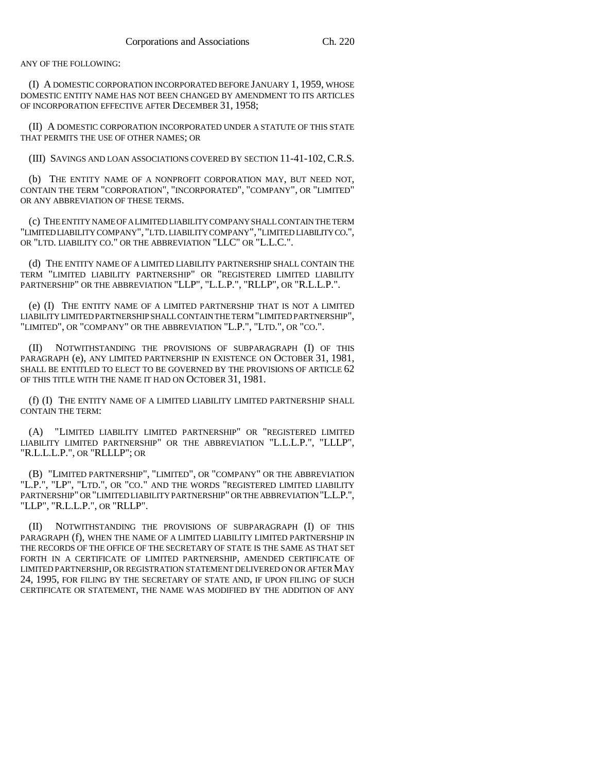ANY OF THE FOLLOWING:

(I) A DOMESTIC CORPORATION INCORPORATED BEFORE JANUARY 1, 1959, WHOSE DOMESTIC ENTITY NAME HAS NOT BEEN CHANGED BY AMENDMENT TO ITS ARTICLES OF INCORPORATION EFFECTIVE AFTER DECEMBER 31, 1958;

(II) A DOMESTIC CORPORATION INCORPORATED UNDER A STATUTE OF THIS STATE THAT PERMITS THE USE OF OTHER NAMES; OR

(III) SAVINGS AND LOAN ASSOCIATIONS COVERED BY SECTION 11-41-102, C.R.S.

(b) THE ENTITY NAME OF A NONPROFIT CORPORATION MAY, BUT NEED NOT, CONTAIN THE TERM "CORPORATION", "INCORPORATED", "COMPANY", OR "LIMITED" OR ANY ABBREVIATION OF THESE TERMS.

(c) THE ENTITY NAME OF A LIMITED LIABILITY COMPANY SHALL CONTAIN THE TERM "LIMITED LIABILITY COMPANY", "LTD. LIABILITY COMPANY", "LIMITED LIABILITY CO.", OR "LTD. LIABILITY CO." OR THE ABBREVIATION "LLC" OR "L.L.C.".

(d) THE ENTITY NAME OF A LIMITED LIABILITY PARTNERSHIP SHALL CONTAIN THE TERM "LIMITED LIABILITY PARTNERSHIP" OR "REGISTERED LIMITED LIABILITY PARTNERSHIP" OR THE ABBREVIATION "LLP", "L.L.P.", "RLLP", OR "R.L.L.P.".

(e) (I) THE ENTITY NAME OF A LIMITED PARTNERSHIP THAT IS NOT A LIMITED LIABILITY LIMITED PARTNERSHIP SHALL CONTAIN THE TERM "LIMITED PARTNERSHIP", "LIMITED", OR "COMPANY" OR THE ABBREVIATION "L.P.", "LTD.", OR "CO.".

(II) NOTWITHSTANDING THE PROVISIONS OF SUBPARAGRAPH (I) OF THIS PARAGRAPH (e), ANY LIMITED PARTNERSHIP IN EXISTENCE ON OCTOBER 31, 1981, SHALL BE ENTITLED TO ELECT TO BE GOVERNED BY THE PROVISIONS OF ARTICLE  $62$ OF THIS TITLE WITH THE NAME IT HAD ON OCTOBER 31, 1981.

(f) (I) THE ENTITY NAME OF A LIMITED LIABILITY LIMITED PARTNERSHIP SHALL CONTAIN THE TERM:

(A) "LIMITED LIABILITY LIMITED PARTNERSHIP" OR "REGISTERED LIMITED LIABILITY LIMITED PARTNERSHIP" OR THE ABBREVIATION "L.L.L.P.", "LLLP", "R.L.L.L.P.", OR "RLLLP"; OR

(B) "LIMITED PARTNERSHIP", "LIMITED", OR "COMPANY" OR THE ABBREVIATION "L.P.", "LP", "LTD.", OR "CO." AND THE WORDS "REGISTERED LIMITED LIABILITY PARTNERSHIP" OR "LIMITED LIABILITY PARTNERSHIP" OR THE ABBREVIATION "L.L.P.", "LLP", "R.L.L.P.", OR "RLLP".

(II) NOTWITHSTANDING THE PROVISIONS OF SUBPARAGRAPH (I) OF THIS PARAGRAPH (f), WHEN THE NAME OF A LIMITED LIABILITY LIMITED PARTNERSHIP IN THE RECORDS OF THE OFFICE OF THE SECRETARY OF STATE IS THE SAME AS THAT SET FORTH IN A CERTIFICATE OF LIMITED PARTNERSHIP, AMENDED CERTIFICATE OF LIMITED PARTNERSHIP, OR REGISTRATION STATEMENT DELIVERED ON OR AFTER MAY 24, 1995, FOR FILING BY THE SECRETARY OF STATE AND, IF UPON FILING OF SUCH CERTIFICATE OR STATEMENT, THE NAME WAS MODIFIED BY THE ADDITION OF ANY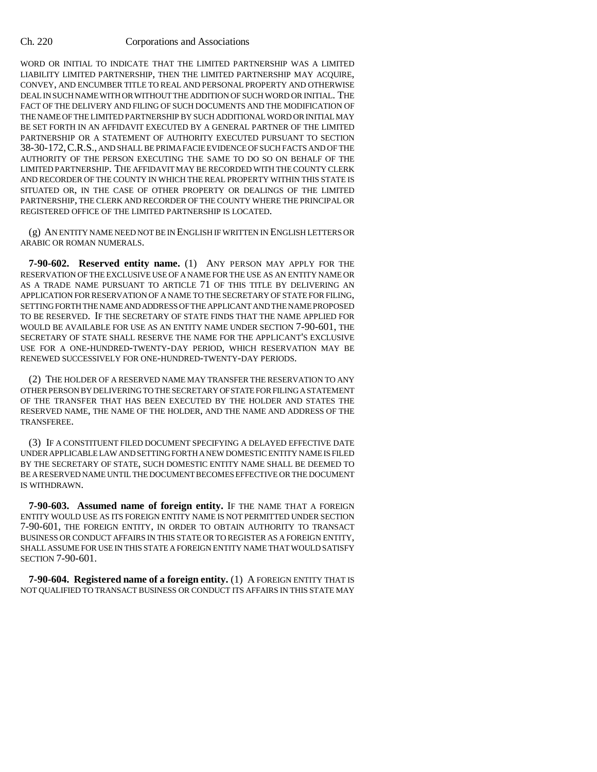WORD OR INITIAL TO INDICATE THAT THE LIMITED PARTNERSHIP WAS A LIMITED LIABILITY LIMITED PARTNERSHIP, THEN THE LIMITED PARTNERSHIP MAY ACQUIRE, CONVEY, AND ENCUMBER TITLE TO REAL AND PERSONAL PROPERTY AND OTHERWISE DEAL IN SUCH NAME WITH OR WITHOUT THE ADDITION OF SUCH WORD OR INITIAL. THE FACT OF THE DELIVERY AND FILING OF SUCH DOCUMENTS AND THE MODIFICATION OF THE NAME OF THE LIMITED PARTNERSHIP BY SUCH ADDITIONAL WORD OR INITIAL MAY BE SET FORTH IN AN AFFIDAVIT EXECUTED BY A GENERAL PARTNER OF THE LIMITED PARTNERSHIP OR A STATEMENT OF AUTHORITY EXECUTED PURSUANT TO SECTION 38-30-172,C.R.S., AND SHALL BE PRIMA FACIE EVIDENCE OF SUCH FACTS AND OF THE AUTHORITY OF THE PERSON EXECUTING THE SAME TO DO SO ON BEHALF OF THE LIMITED PARTNERSHIP. THE AFFIDAVIT MAY BE RECORDED WITH THE COUNTY CLERK AND RECORDER OF THE COUNTY IN WHICH THE REAL PROPERTY WITHIN THIS STATE IS SITUATED OR, IN THE CASE OF OTHER PROPERTY OR DEALINGS OF THE LIMITED PARTNERSHIP, THE CLERK AND RECORDER OF THE COUNTY WHERE THE PRINCIPAL OR REGISTERED OFFICE OF THE LIMITED PARTNERSHIP IS LOCATED.

(g) AN ENTITY NAME NEED NOT BE IN ENGLISH IF WRITTEN IN ENGLISH LETTERS OR ARABIC OR ROMAN NUMERALS.

**7-90-602. Reserved entity name.** (1) ANY PERSON MAY APPLY FOR THE RESERVATION OF THE EXCLUSIVE USE OF A NAME FOR THE USE AS AN ENTITY NAME OR AS A TRADE NAME PURSUANT TO ARTICLE 71 OF THIS TITLE BY DELIVERING AN APPLICATION FOR RESERVATION OF A NAME TO THE SECRETARY OF STATE FOR FILING, SETTING FORTH THE NAME AND ADDRESS OF THE APPLICANT AND THE NAME PROPOSED TO BE RESERVED. IF THE SECRETARY OF STATE FINDS THAT THE NAME APPLIED FOR WOULD BE AVAILABLE FOR USE AS AN ENTITY NAME UNDER SECTION 7-90-601, THE SECRETARY OF STATE SHALL RESERVE THE NAME FOR THE APPLICANT'S EXCLUSIVE USE FOR A ONE-HUNDRED-TWENTY-DAY PERIOD, WHICH RESERVATION MAY BE RENEWED SUCCESSIVELY FOR ONE-HUNDRED-TWENTY-DAY PERIODS.

(2) THE HOLDER OF A RESERVED NAME MAY TRANSFER THE RESERVATION TO ANY OTHER PERSON BY DELIVERING TO THE SECRETARY OF STATE FOR FILING A STATEMENT OF THE TRANSFER THAT HAS BEEN EXECUTED BY THE HOLDER AND STATES THE RESERVED NAME, THE NAME OF THE HOLDER, AND THE NAME AND ADDRESS OF THE TRANSFEREE.

(3) IF A CONSTITUENT FILED DOCUMENT SPECIFYING A DELAYED EFFECTIVE DATE UNDER APPLICABLE LAW AND SETTING FORTH A NEW DOMESTIC ENTITY NAME IS FILED BY THE SECRETARY OF STATE, SUCH DOMESTIC ENTITY NAME SHALL BE DEEMED TO BE A RESERVED NAME UNTIL THE DOCUMENT BECOMES EFFECTIVE OR THE DOCUMENT IS WITHDRAWN.

**7-90-603. Assumed name of foreign entity.** IF THE NAME THAT A FOREIGN ENTITY WOULD USE AS ITS FOREIGN ENTITY NAME IS NOT PERMITTED UNDER SECTION 7-90-601, THE FOREIGN ENTITY, IN ORDER TO OBTAIN AUTHORITY TO TRANSACT BUSINESS OR CONDUCT AFFAIRS IN THIS STATE OR TO REGISTER AS A FOREIGN ENTITY, SHALL ASSUME FOR USE IN THIS STATE A FOREIGN ENTITY NAME THAT WOULD SATISFY SECTION 7-90-601.

**7-90-604. Registered name of a foreign entity.** (1) A FOREIGN ENTITY THAT IS NOT QUALIFIED TO TRANSACT BUSINESS OR CONDUCT ITS AFFAIRS IN THIS STATE MAY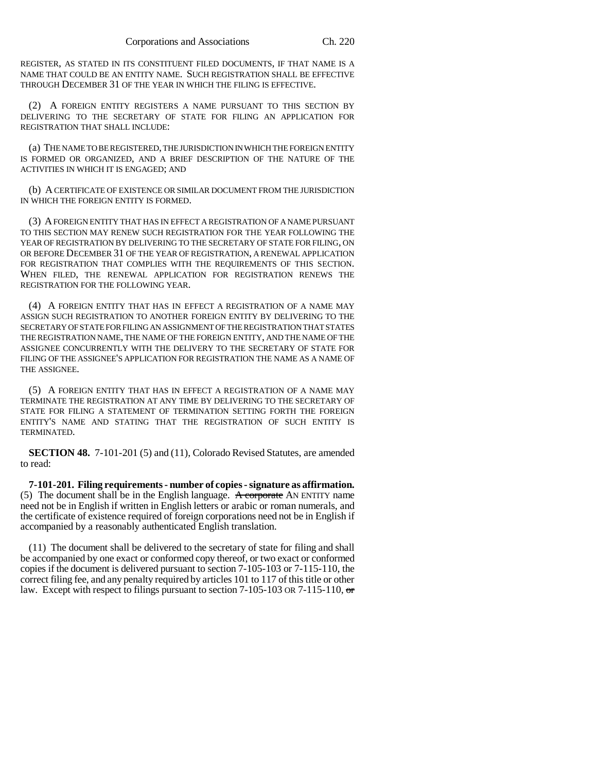REGISTER, AS STATED IN ITS CONSTITUENT FILED DOCUMENTS, IF THAT NAME IS A NAME THAT COULD BE AN ENTITY NAME. SUCH REGISTRATION SHALL BE EFFECTIVE THROUGH DECEMBER 31 OF THE YEAR IN WHICH THE FILING IS EFFECTIVE.

(2) A FOREIGN ENTITY REGISTERS A NAME PURSUANT TO THIS SECTION BY DELIVERING TO THE SECRETARY OF STATE FOR FILING AN APPLICATION FOR REGISTRATION THAT SHALL INCLUDE:

(a) THE NAME TO BE REGISTERED, THE JURISDICTION IN WHICH THE FOREIGN ENTITY IS FORMED OR ORGANIZED, AND A BRIEF DESCRIPTION OF THE NATURE OF THE ACTIVITIES IN WHICH IT IS ENGAGED; AND

(b) A CERTIFICATE OF EXISTENCE OR SIMILAR DOCUMENT FROM THE JURISDICTION IN WHICH THE FOREIGN ENTITY IS FORMED.

(3) A FOREIGN ENTITY THAT HAS IN EFFECT A REGISTRATION OF A NAME PURSUANT TO THIS SECTION MAY RENEW SUCH REGISTRATION FOR THE YEAR FOLLOWING THE YEAR OF REGISTRATION BY DELIVERING TO THE SECRETARY OF STATE FOR FILING, ON OR BEFORE DECEMBER 31 OF THE YEAR OF REGISTRATION, A RENEWAL APPLICATION FOR REGISTRATION THAT COMPLIES WITH THE REQUIREMENTS OF THIS SECTION. WHEN FILED, THE RENEWAL APPLICATION FOR REGISTRATION RENEWS THE REGISTRATION FOR THE FOLLOWING YEAR.

(4) A FOREIGN ENTITY THAT HAS IN EFFECT A REGISTRATION OF A NAME MAY ASSIGN SUCH REGISTRATION TO ANOTHER FOREIGN ENTITY BY DELIVERING TO THE SECRETARY OF STATE FOR FILING AN ASSIGNMENT OF THE REGISTRATION THAT STATES THE REGISTRATION NAME, THE NAME OF THE FOREIGN ENTITY, AND THE NAME OF THE ASSIGNEE CONCURRENTLY WITH THE DELIVERY TO THE SECRETARY OF STATE FOR FILING OF THE ASSIGNEE'S APPLICATION FOR REGISTRATION THE NAME AS A NAME OF THE ASSIGNEE.

(5) A FOREIGN ENTITY THAT HAS IN EFFECT A REGISTRATION OF A NAME MAY TERMINATE THE REGISTRATION AT ANY TIME BY DELIVERING TO THE SECRETARY OF STATE FOR FILING A STATEMENT OF TERMINATION SETTING FORTH THE FOREIGN ENTITY'S NAME AND STATING THAT THE REGISTRATION OF SUCH ENTITY IS TERMINATED.

**SECTION 48.** 7-101-201 (5) and (11), Colorado Revised Statutes, are amended to read:

**7-101-201. Filing requirements - number of copies - signature as affirmation.** (5) The document shall be in the English language. A corporate AN ENTITY name need not be in English if written in English letters or arabic or roman numerals, and the certificate of existence required of foreign corporations need not be in English if accompanied by a reasonably authenticated English translation.

(11) The document shall be delivered to the secretary of state for filing and shall be accompanied by one exact or conformed copy thereof, or two exact or conformed copies if the document is delivered pursuant to section 7-105-103 or 7-115-110, the correct filing fee, and any penalty required by articles 101 to 117 of this title or other law. Except with respect to filings pursuant to section 7-105-103 OR 7-115-110,  $\sigma$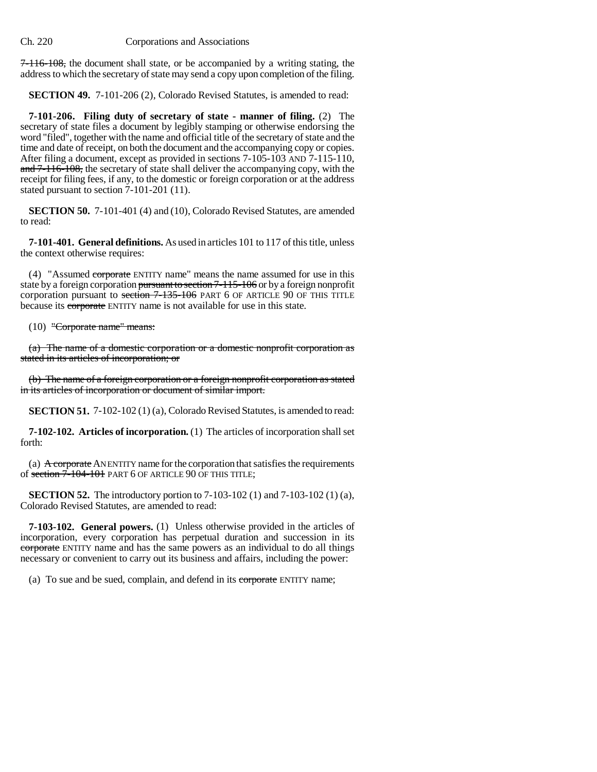7-116-108, the document shall state, or be accompanied by a writing stating, the address to which the secretary of state may send a copy upon completion of the filing.

**SECTION 49.** 7-101-206 (2), Colorado Revised Statutes, is amended to read:

**7-101-206. Filing duty of secretary of state - manner of filing.** (2) The secretary of state files a document by legibly stamping or otherwise endorsing the word "filed", together with the name and official title of the secretary of state and the time and date of receipt, on both the document and the accompanying copy or copies. After filing a document, except as provided in sections 7-105-103 AND 7-115-110, and 7-116-108, the secretary of state shall deliver the accompanying copy, with the receipt for filing fees, if any, to the domestic or foreign corporation or at the address stated pursuant to section  $7-101-201$  (11).

**SECTION 50.** 7-101-401 (4) and (10), Colorado Revised Statutes, are amended to read:

**7-101-401. General definitions.** As used in articles 101 to 117 of this title, unless the context otherwise requires:

(4) "Assumed corporate ENTITY name" means the name assumed for use in this state by a foreign corporation pursuant to section 7-115-106 or by a foreign nonprofit corporation pursuant to section 7-135-106 PART 6 OF ARTICLE 90 OF THIS TITLE because its corporate ENTITY name is not available for use in this state.

(10) "Corporate name" means:

(a) The name of a domestic corporation or a domestic nonprofit corporation as stated in its articles of incorporation; or

(b) The name of a foreign corporation or a foreign nonprofit corporation as stated in its articles of incorporation or document of similar import.

**SECTION 51.** 7-102-102 (1) (a), Colorado Revised Statutes, is amended to read:

**7-102-102. Articles of incorporation.** (1) The articles of incorporation shall set forth:

(a) A corporate AN ENTITY name for the corporation that satisfies the requirements of section 7-104-101 PART 6 OF ARTICLE 90 OF THIS TITLE;

**SECTION 52.** The introductory portion to 7-103-102 (1) and 7-103-102 (1) (a), Colorado Revised Statutes, are amended to read:

**7-103-102. General powers.** (1) Unless otherwise provided in the articles of incorporation, every corporation has perpetual duration and succession in its corporate ENTITY name and has the same powers as an individual to do all things necessary or convenient to carry out its business and affairs, including the power:

(a) To sue and be sued, complain, and defend in its corporate ENTITY name;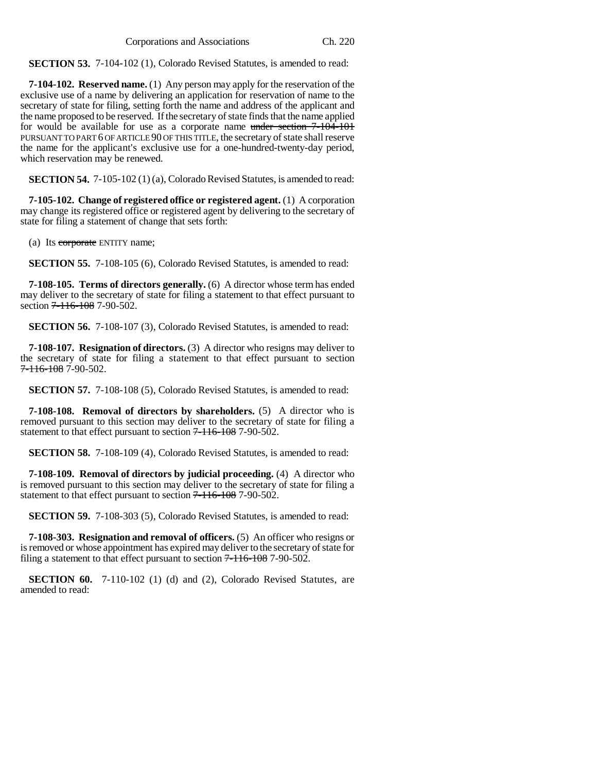**SECTION 53.** 7-104-102 (1), Colorado Revised Statutes, is amended to read:

**7-104-102. Reserved name.** (1) Any person may apply for the reservation of the exclusive use of a name by delivering an application for reservation of name to the secretary of state for filing, setting forth the name and address of the applicant and the name proposed to be reserved. If the secretary of state finds that the name applied for would be available for use as a corporate name under section 7-104-101 PURSUANT TO PART 6 OF ARTICLE 90 OF THIS TITLE, the secretary of state shall reserve the name for the applicant's exclusive use for a one-hundred-twenty-day period, which reservation may be renewed.

**SECTION 54.** 7-105-102 (1) (a), Colorado Revised Statutes, is amended to read:

**7-105-102. Change of registered office or registered agent.** (1) A corporation may change its registered office or registered agent by delivering to the secretary of state for filing a statement of change that sets forth:

(a) Its corporate ENTITY name;

**SECTION 55.** 7-108-105 (6), Colorado Revised Statutes, is amended to read:

**7-108-105. Terms of directors generally.** (6) A director whose term has ended may deliver to the secretary of state for filing a statement to that effect pursuant to section 7-116-108 7-90-502.

**SECTION 56.** 7-108-107 (3), Colorado Revised Statutes, is amended to read:

**7-108-107. Resignation of directors.** (3) A director who resigns may deliver to the secretary of state for filing a statement to that effect pursuant to section  $7 - 116 - 1087 - 90 - 502$ .

**SECTION 57.** 7-108-108 (5), Colorado Revised Statutes, is amended to read:

**7-108-108. Removal of directors by shareholders.** (5) A director who is removed pursuant to this section may deliver to the secretary of state for filing a statement to that effect pursuant to section  $7-116-108$  7-90-502.

**SECTION 58.** 7-108-109 (4), Colorado Revised Statutes, is amended to read:

**7-108-109. Removal of directors by judicial proceeding.** (4) A director who is removed pursuant to this section may deliver to the secretary of state for filing a statement to that effect pursuant to section  $7 - 116 - 108$  7-90-502.

**SECTION 59.** 7-108-303 (5), Colorado Revised Statutes, is amended to read:

**7-108-303. Resignation and removal of officers.** (5) An officer who resigns or is removed or whose appointment has expired may deliver to the secretary of state for filing a statement to that effect pursuant to section  $7-116-108$  7-90-502.

**SECTION 60.** 7-110-102 (1) (d) and (2), Colorado Revised Statutes, are amended to read: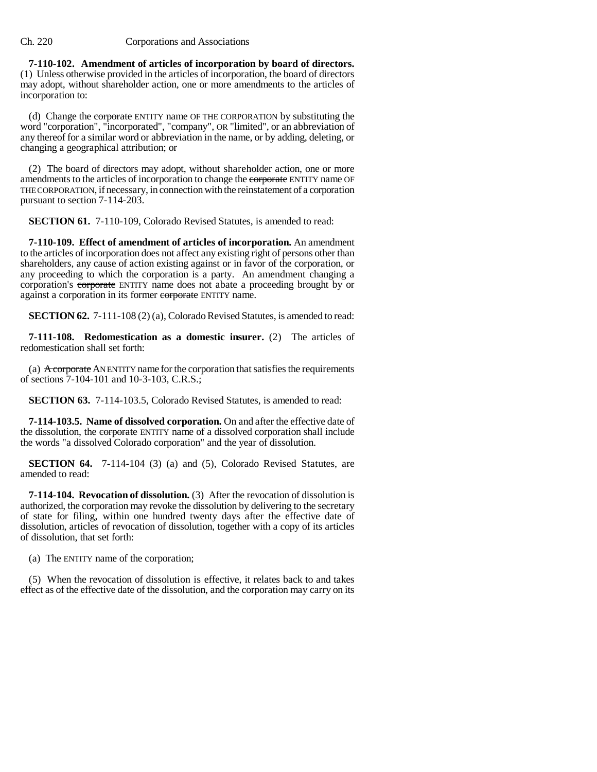**7-110-102. Amendment of articles of incorporation by board of directors.** (1) Unless otherwise provided in the articles of incorporation, the board of directors may adopt, without shareholder action, one or more amendments to the articles of incorporation to:

(d) Change the corporate ENTITY name OF THE CORPORATION by substituting the word "corporation", "incorporated", "company", OR "limited", or an abbreviation of any thereof for a similar word or abbreviation in the name, or by adding, deleting, or changing a geographical attribution; or

(2) The board of directors may adopt, without shareholder action, one or more amendments to the articles of incorporation to change the corporate ENTITY name OF THE CORPORATION, if necessary, in connection with the reinstatement of a corporation pursuant to section 7-114-203.

**SECTION 61.** 7-110-109, Colorado Revised Statutes, is amended to read:

**7-110-109. Effect of amendment of articles of incorporation.** An amendment to the articles of incorporation does not affect any existing right of persons other than shareholders, any cause of action existing against or in favor of the corporation, or any proceeding to which the corporation is a party. An amendment changing a corporation's corporate ENTITY name does not abate a proceeding brought by or against a corporation in its former corporate ENTITY name.

**SECTION 62.** 7-111-108 (2) (a), Colorado Revised Statutes, is amended to read:

**7-111-108. Redomestication as a domestic insurer.** (2) The articles of redomestication shall set forth:

(a) A corporate AN ENTITY name for the corporation that satisfies the requirements of sections 7-104-101 and 10-3-103, C.R.S.;

**SECTION 63.** 7-114-103.5, Colorado Revised Statutes, is amended to read:

**7-114-103.5. Name of dissolved corporation.** On and after the effective date of the dissolution, the corporate ENTITY name of a dissolved corporation shall include the words "a dissolved Colorado corporation" and the year of dissolution.

**SECTION 64.** 7-114-104 (3) (a) and (5), Colorado Revised Statutes, are amended to read:

**7-114-104. Revocation of dissolution.** (3) After the revocation of dissolution is authorized, the corporation may revoke the dissolution by delivering to the secretary of state for filing, within one hundred twenty days after the effective date of dissolution, articles of revocation of dissolution, together with a copy of its articles of dissolution, that set forth:

(a) The ENTITY name of the corporation;

(5) When the revocation of dissolution is effective, it relates back to and takes effect as of the effective date of the dissolution, and the corporation may carry on its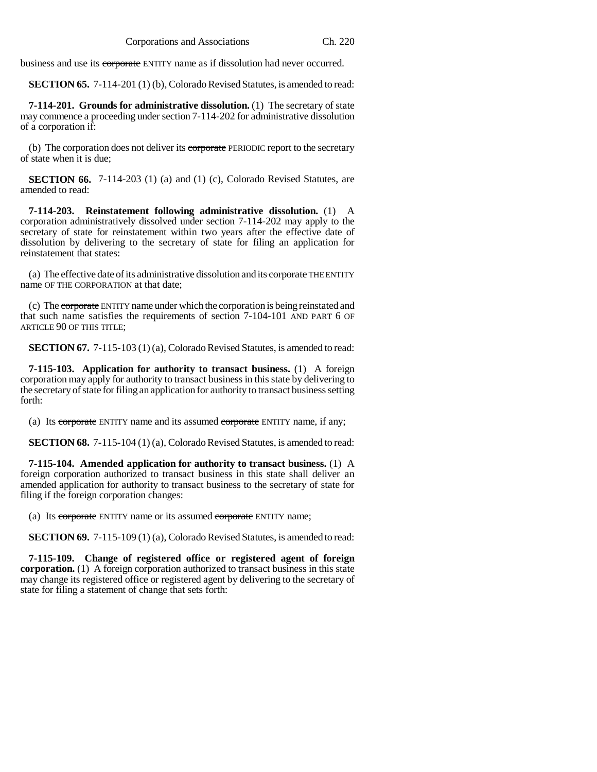business and use its corporate ENTITY name as if dissolution had never occurred.

**SECTION 65.** 7-114-201 (1) (b), Colorado Revised Statutes, is amended to read:

**7-114-201. Grounds for administrative dissolution.** (1) The secretary of state may commence a proceeding under section 7-114-202 for administrative dissolution of a corporation if:

(b) The corporation does not deliver its corporate PERIODIC report to the secretary of state when it is due;

**SECTION 66.** 7-114-203 (1) (a) and (1) (c), Colorado Revised Statutes, are amended to read:

**7-114-203. Reinstatement following administrative dissolution.** (1) A corporation administratively dissolved under section 7-114-202 may apply to the secretary of state for reinstatement within two years after the effective date of dissolution by delivering to the secretary of state for filing an application for reinstatement that states:

(a) The effective date of its administrative dissolution and its corporate THE ENTITY name OF THE CORPORATION at that date;

(c) The corporate ENTITY name under which the corporation is being reinstated and that such name satisfies the requirements of section 7-104-101 AND PART 6 OF ARTICLE 90 OF THIS TITLE;

**SECTION 67.** 7-115-103 (1) (a), Colorado Revised Statutes, is amended to read:

**7-115-103. Application for authority to transact business.** (1) A foreign corporation may apply for authority to transact business in this state by delivering to the secretary of state for filing an application for authority to transact business setting forth:

(a) Its corporate ENTITY name and its assumed corporate ENTITY name, if any;

**SECTION 68.** 7-115-104 (1) (a), Colorado Revised Statutes, is amended to read:

**7-115-104. Amended application for authority to transact business.** (1) A foreign corporation authorized to transact business in this state shall deliver an amended application for authority to transact business to the secretary of state for filing if the foreign corporation changes:

(a) Its corporate ENTITY name or its assumed corporate ENTITY name;

**SECTION 69.** 7-115-109 (1) (a), Colorado Revised Statutes, is amended to read:

**7-115-109. Change of registered office or registered agent of foreign corporation.** (1) A foreign corporation authorized to transact business in this state may change its registered office or registered agent by delivering to the secretary of state for filing a statement of change that sets forth: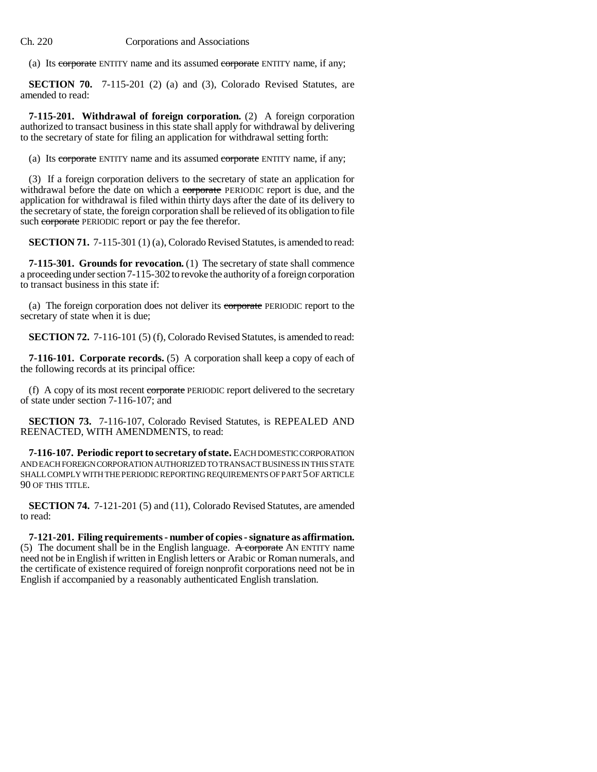(a) Its corporate ENTITY name and its assumed corporate ENTITY name, if any;

**SECTION 70.** 7-115-201 (2) (a) and (3), Colorado Revised Statutes, are amended to read:

**7-115-201. Withdrawal of foreign corporation.** (2) A foreign corporation authorized to transact business in this state shall apply for withdrawal by delivering to the secretary of state for filing an application for withdrawal setting forth:

(a) Its corporate ENTITY name and its assumed corporate ENTITY name, if any;

(3) If a foreign corporation delivers to the secretary of state an application for withdrawal before the date on which a corporate PERIODIC report is due, and the application for withdrawal is filed within thirty days after the date of its delivery to the secretary of state, the foreign corporation shall be relieved of its obligation to file such corporate PERIODIC report or pay the fee therefor.

**SECTION 71.** 7-115-301 (1) (a), Colorado Revised Statutes, is amended to read:

**7-115-301. Grounds for revocation.** (1) The secretary of state shall commence a proceeding under section 7-115-302 to revoke the authority of a foreign corporation to transact business in this state if:

(a) The foreign corporation does not deliver its corporate PERIODIC report to the secretary of state when it is due;

**SECTION 72.** 7-116-101 (5) (f), Colorado Revised Statutes, is amended to read:

**7-116-101. Corporate records.** (5) A corporation shall keep a copy of each of the following records at its principal office:

(f) A copy of its most recent corporate PERIODIC report delivered to the secretary of state under section 7-116-107; and

**SECTION 73.** 7-116-107, Colorado Revised Statutes, is REPEALED AND REENACTED, WITH AMENDMENTS, to read:

**7-116-107. Periodic report to secretary of state.** EACH DOMESTIC CORPORATION AND EACH FOREIGN CORPORATION AUTHORIZED TO TRANSACT BUSINESS IN THIS STATE SHALL COMPLY WITH THE PERIODIC REPORTING REQUIREMENTS OF PART 5 OF ARTICLE 90 OF THIS TITLE.

**SECTION 74.** 7-121-201 (5) and (11), Colorado Revised Statutes, are amended to read:

**7-121-201. Filing requirements - number of copies - signature as affirmation.** (5) The document shall be in the English language. A corporate AN ENTITY name need not be in English if written in English letters or Arabic or Roman numerals, and the certificate of existence required of foreign nonprofit corporations need not be in English if accompanied by a reasonably authenticated English translation.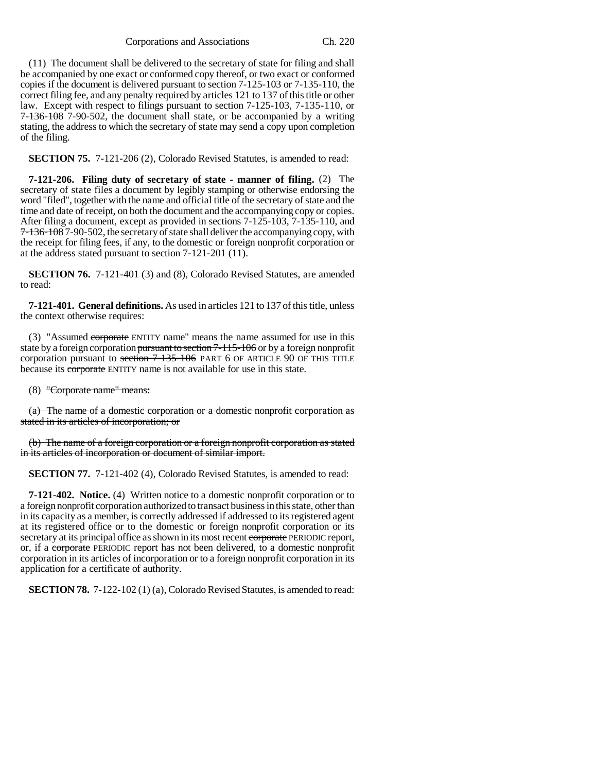Corporations and Associations Ch. 220

(11) The document shall be delivered to the secretary of state for filing and shall be accompanied by one exact or conformed copy thereof, or two exact or conformed copies if the document is delivered pursuant to section 7-125-103 or 7-135-110, the correct filing fee, and any penalty required by articles 121 to 137 of this title or other law. Except with respect to filings pursuant to section 7-125-103, 7-135-110, or 7-136-108 7-90-502, the document shall state, or be accompanied by a writing stating, the address to which the secretary of state may send a copy upon completion of the filing.

**SECTION 75.** 7-121-206 (2), Colorado Revised Statutes, is amended to read:

**7-121-206. Filing duty of secretary of state - manner of filing.** (2) The secretary of state files a document by legibly stamping or otherwise endorsing the word "filed", together with the name and official title of the secretary of state and the time and date of receipt, on both the document and the accompanying copy or copies. After filing a document, except as provided in sections 7-125-103, 7-135-110, and 7-136-108 7-90-502, the secretary of state shall deliver the accompanying copy, with the receipt for filing fees, if any, to the domestic or foreign nonprofit corporation or at the address stated pursuant to section 7-121-201 (11).

**SECTION 76.** 7-121-401 (3) and (8), Colorado Revised Statutes, are amended to read:

**7-121-401. General definitions.** As used in articles 121 to 137 of this title, unless the context otherwise requires:

(3) "Assumed corporate ENTITY name" means the name assumed for use in this state by a foreign corporation pursuant to section 7-115-106 or by a foreign nonprofit corporation pursuant to section 7-135-106 PART 6 OF ARTICLE 90 OF THIS TITLE because its corporate ENTITY name is not available for use in this state.

(8) "Corporate name" means:

(a) The name of a domestic corporation or a domestic nonprofit corporation as stated in its articles of incorporation; or

(b) The name of a foreign corporation or a foreign nonprofit corporation as stated in its articles of incorporation or document of similar import.

**SECTION 77.** 7-121-402 (4), Colorado Revised Statutes, is amended to read:

**7-121-402. Notice.** (4) Written notice to a domestic nonprofit corporation or to a foreign nonprofit corporation authorized to transact business in this state, other than in its capacity as a member, is correctly addressed if addressed to its registered agent at its registered office or to the domestic or foreign nonprofit corporation or its secretary at its principal office as shown in its most recent corporate PERIODIC report, or, if a corporate PERIODIC report has not been delivered, to a domestic nonprofit corporation in its articles of incorporation or to a foreign nonprofit corporation in its application for a certificate of authority.

**SECTION 78.** 7-122-102 (1) (a), Colorado Revised Statutes, is amended to read: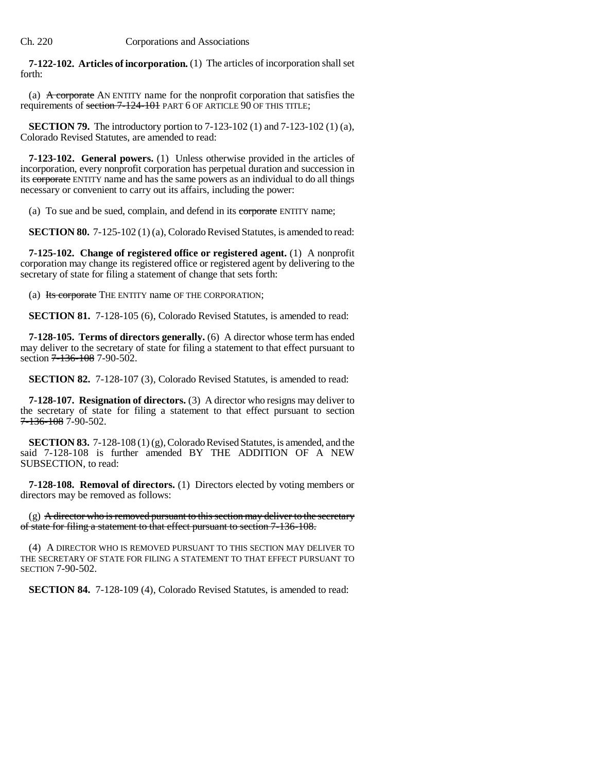**7-122-102. Articles of incorporation.** (1) The articles of incorporation shall set forth:

(a)  $\overline{A}$  corporate AN ENTITY name for the nonprofit corporation that satisfies the requirements of section 7-124-101 PART 6 OF ARTICLE 90 OF THIS TITLE;

**SECTION 79.** The introductory portion to 7-123-102 (1) and 7-123-102 (1) (a), Colorado Revised Statutes, are amended to read:

**7-123-102. General powers.** (1) Unless otherwise provided in the articles of incorporation, every nonprofit corporation has perpetual duration and succession in its corporate ENTITY name and has the same powers as an individual to do all things necessary or convenient to carry out its affairs, including the power:

(a) To sue and be sued, complain, and defend in its corporate ENTITY name;

**SECTION 80.** 7-125-102 (1) (a), Colorado Revised Statutes, is amended to read:

**7-125-102. Change of registered office or registered agent.** (1) A nonprofit corporation may change its registered office or registered agent by delivering to the secretary of state for filing a statement of change that sets forth:

(a) Its corporate THE ENTITY name OF THE CORPORATION;

**SECTION 81.** 7-128-105 (6), Colorado Revised Statutes, is amended to read:

**7-128-105. Terms of directors generally.** (6) A director whose term has ended may deliver to the secretary of state for filing a statement to that effect pursuant to section 7-136-108 7-90-502.

**SECTION 82.** 7-128-107 (3), Colorado Revised Statutes, is amended to read:

**7-128-107. Resignation of directors.** (3) A director who resigns may deliver to the secretary of state for filing a statement to that effect pursuant to section 7-136-108 7-90-502.

**SECTION 83.** 7-128-108 (1) (g), Colorado Revised Statutes, is amended, and the said 7-128-108 is further amended BY THE ADDITION OF A NEW SUBSECTION, to read:

**7-128-108. Removal of directors.** (1) Directors elected by voting members or directors may be removed as follows:

 $(g)$  A director who is removed pursuant to this section may deliver to the secretary of state for filing a statement to that effect pursuant to section 7-136-108.

(4) A DIRECTOR WHO IS REMOVED PURSUANT TO THIS SECTION MAY DELIVER TO THE SECRETARY OF STATE FOR FILING A STATEMENT TO THAT EFFECT PURSUANT TO SECTION 7-90-502.

**SECTION 84.** 7-128-109 (4), Colorado Revised Statutes, is amended to read: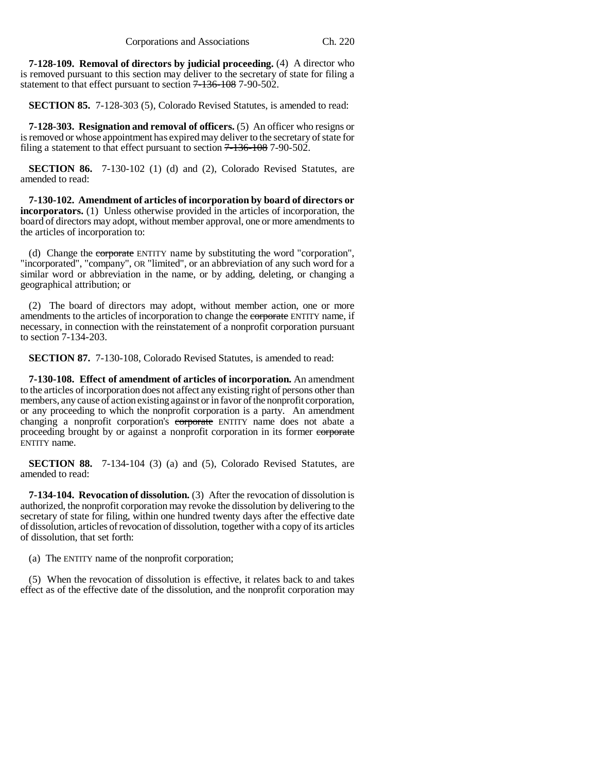**7-128-109. Removal of directors by judicial proceeding.** (4) A director who is removed pursuant to this section may deliver to the secretary of state for filing a statement to that effect pursuant to section  $7 - 136 - 108$  7-90-502.

**SECTION 85.** 7-128-303 (5), Colorado Revised Statutes, is amended to read:

**7-128-303. Resignation and removal of officers.** (5) An officer who resigns or is removed or whose appointment has expired may deliver to the secretary of state for filing a statement to that effect pursuant to section  $7 - 136 - 108$  7-90-502.

**SECTION 86.** 7-130-102 (1) (d) and (2), Colorado Revised Statutes, are amended to read:

**7-130-102. Amendment of articles of incorporation by board of directors or incorporators.** (1) Unless otherwise provided in the articles of incorporation, the board of directors may adopt, without member approval, one or more amendments to the articles of incorporation to:

(d) Change the corporate ENTITY name by substituting the word "corporation", "incorporated", "company", OR "limited", or an abbreviation of any such word for a similar word or abbreviation in the name, or by adding, deleting, or changing a geographical attribution; or

(2) The board of directors may adopt, without member action, one or more amendments to the articles of incorporation to change the corporate ENTITY name, if necessary, in connection with the reinstatement of a nonprofit corporation pursuant to section 7-134-203.

**SECTION 87.** 7-130-108, Colorado Revised Statutes, is amended to read:

**7-130-108. Effect of amendment of articles of incorporation.** An amendment to the articles of incorporation does not affect any existing right of persons other than members, any cause of action existing against or in favor of the nonprofit corporation, or any proceeding to which the nonprofit corporation is a party. An amendment changing a nonprofit corporation's corporate ENTITY name does not abate a proceeding brought by or against a nonprofit corporation in its former corporate ENTITY name.

**SECTION 88.** 7-134-104 (3) (a) and (5), Colorado Revised Statutes, are amended to read:

**7-134-104. Revocation of dissolution.** (3) After the revocation of dissolution is authorized, the nonprofit corporation may revoke the dissolution by delivering to the secretary of state for filing, within one hundred twenty days after the effective date of dissolution, articles of revocation of dissolution, together with a copy of its articles of dissolution, that set forth:

(a) The ENTITY name of the nonprofit corporation;

(5) When the revocation of dissolution is effective, it relates back to and takes effect as of the effective date of the dissolution, and the nonprofit corporation may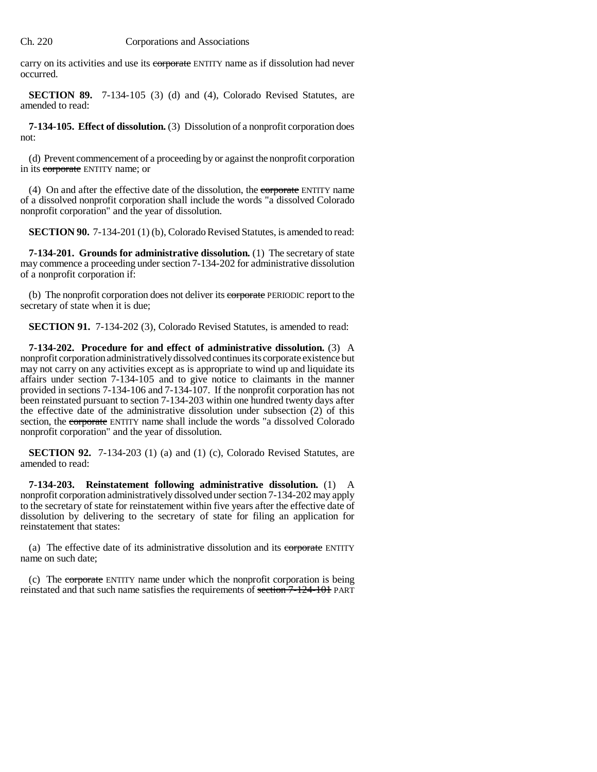carry on its activities and use its corporate ENTITY name as if dissolution had never occurred.

**SECTION 89.** 7-134-105 (3) (d) and (4), Colorado Revised Statutes, are amended to read:

**7-134-105. Effect of dissolution.** (3) Dissolution of a nonprofit corporation does not:

(d) Prevent commencement of a proceeding by or against the nonprofit corporation in its corporate ENTITY name; or

(4) On and after the effective date of the dissolution, the corporate ENTITY name of a dissolved nonprofit corporation shall include the words "a dissolved Colorado nonprofit corporation" and the year of dissolution.

**SECTION 90.** 7-134-201 (1) (b), Colorado Revised Statutes, is amended to read:

**7-134-201. Grounds for administrative dissolution.** (1) The secretary of state may commence a proceeding under section 7-134-202 for administrative dissolution of a nonprofit corporation if:

(b) The nonprofit corporation does not deliver its corporate PERIODIC report to the secretary of state when it is due;

**SECTION 91.** 7-134-202 (3), Colorado Revised Statutes, is amended to read:

**7-134-202. Procedure for and effect of administrative dissolution.** (3) A nonprofit corporation administratively dissolved continues its corporate existence but may not carry on any activities except as is appropriate to wind up and liquidate its affairs under section 7-134-105 and to give notice to claimants in the manner provided in sections 7-134-106 and 7-134-107. If the nonprofit corporation has not been reinstated pursuant to section 7-134-203 within one hundred twenty days after the effective date of the administrative dissolution under subsection (2) of this section, the corporate ENTITY name shall include the words "a dissolved Colorado" nonprofit corporation" and the year of dissolution.

**SECTION 92.** 7-134-203 (1) (a) and (1) (c), Colorado Revised Statutes, are amended to read:

**7-134-203. Reinstatement following administrative dissolution.** (1) A nonprofit corporation administratively dissolved under section 7-134-202 may apply to the secretary of state for reinstatement within five years after the effective date of dissolution by delivering to the secretary of state for filing an application for reinstatement that states:

(a) The effective date of its administrative dissolution and its corporate ENTITY name on such date;

(c) The corporate ENTITY name under which the nonprofit corporation is being reinstated and that such name satisfies the requirements of section 7-124-101 PART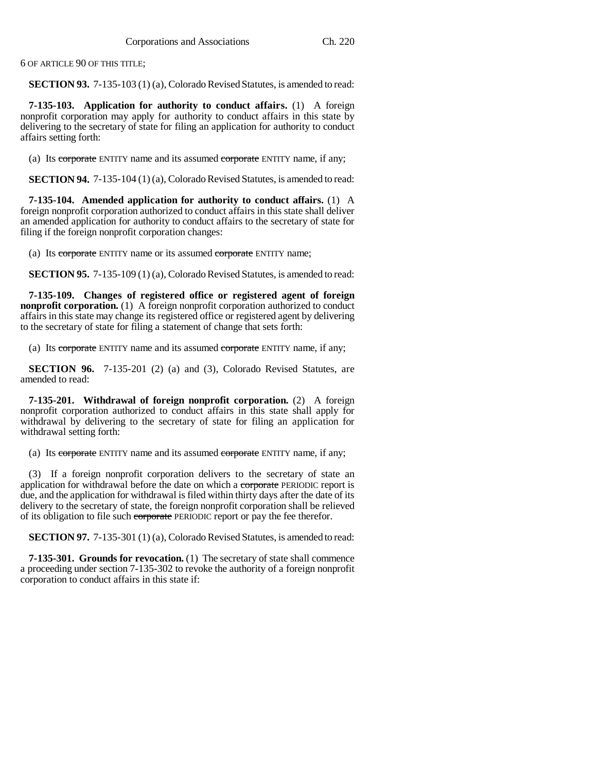6 OF ARTICLE 90 OF THIS TITLE;

**SECTION 93.** 7-135-103 (1) (a), Colorado Revised Statutes, is amended to read:

**7-135-103. Application for authority to conduct affairs.** (1) A foreign nonprofit corporation may apply for authority to conduct affairs in this state by delivering to the secretary of state for filing an application for authority to conduct affairs setting forth:

(a) Its corporate ENTITY name and its assumed corporate ENTITY name, if any;

**SECTION 94.** 7-135-104 (1) (a), Colorado Revised Statutes, is amended to read:

**7-135-104. Amended application for authority to conduct affairs.** (1) A foreign nonprofit corporation authorized to conduct affairs in this state shall deliver an amended application for authority to conduct affairs to the secretary of state for filing if the foreign nonprofit corporation changes:

(a) Its corporate ENTITY name or its assumed corporate ENTITY name;

**SECTION 95.** 7-135-109 (1) (a), Colorado Revised Statutes, is amended to read:

**7-135-109. Changes of registered office or registered agent of foreign nonprofit corporation.** (1) A foreign nonprofit corporation authorized to conduct affairs in this state may change its registered office or registered agent by delivering to the secretary of state for filing a statement of change that sets forth:

(a) Its corporate ENTITY name and its assumed corporate ENTITY name, if any;

**SECTION 96.** 7-135-201 (2) (a) and (3), Colorado Revised Statutes, are amended to read:

**7-135-201. Withdrawal of foreign nonprofit corporation.** (2) A foreign nonprofit corporation authorized to conduct affairs in this state shall apply for withdrawal by delivering to the secretary of state for filing an application for withdrawal setting forth:

(a) Its corporate ENTITY name and its assumed corporate ENTITY name, if any;

(3) If a foreign nonprofit corporation delivers to the secretary of state an application for withdrawal before the date on which a corporate PERIODIC report is due, and the application for withdrawal is filed within thirty days after the date of its delivery to the secretary of state, the foreign nonprofit corporation shall be relieved of its obligation to file such corporate PERIODIC report or pay the fee therefor.

**SECTION 97.** 7-135-301 (1) (a), Colorado Revised Statutes, is amended to read:

**7-135-301. Grounds for revocation.** (1) The secretary of state shall commence a proceeding under section 7-135-302 to revoke the authority of a foreign nonprofit corporation to conduct affairs in this state if: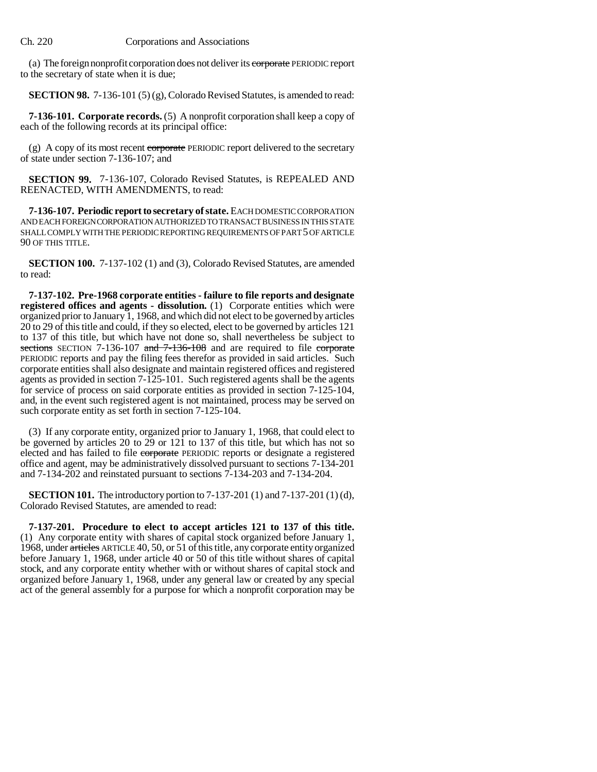(a) The foreign nonprofit corporation does not deliver its corporate PERIODIC report to the secretary of state when it is due;

**SECTION 98.** 7-136-101 (5) (g), Colorado Revised Statutes, is amended to read:

**7-136-101. Corporate records.** (5) A nonprofit corporation shall keep a copy of each of the following records at its principal office:

(g) A copy of its most recent corporate PERIODIC report delivered to the secretary of state under section 7-136-107; and

**SECTION 99.** 7-136-107, Colorado Revised Statutes, is REPEALED AND REENACTED, WITH AMENDMENTS, to read:

**7-136-107. Periodic report to secretary of state.** EACH DOMESTIC CORPORATION AND EACH FOREIGN CORPORATION AUTHORIZED TO TRANSACT BUSINESS IN THIS STATE SHALL COMPLY WITH THE PERIODIC REPORTING REQUIREMENTS OF PART 5 OF ARTICLE 90 OF THIS TITLE.

**SECTION 100.** 7-137-102 (1) and (3), Colorado Revised Statutes, are amended to read:

**7-137-102. Pre-1968 corporate entities - failure to file reports and designate registered offices and agents - dissolution.** (1) Corporate entities which were organized prior to January 1, 1968, and which did not elect to be governed by articles 20 to 29 of this title and could, if they so elected, elect to be governed by articles 121 to 137 of this title, but which have not done so, shall nevertheless be subject to sections SECTION 7-136-107 and 7-136-108 and are required to file corporate PERIODIC reports and pay the filing fees therefor as provided in said articles. Such corporate entities shall also designate and maintain registered offices and registered agents as provided in section 7-125-101. Such registered agents shall be the agents for service of process on said corporate entities as provided in section 7-125-104, and, in the event such registered agent is not maintained, process may be served on such corporate entity as set forth in section 7-125-104.

(3) If any corporate entity, organized prior to January 1, 1968, that could elect to be governed by articles 20 to 29 or 121 to 137 of this title, but which has not so elected and has failed to file corporate PERIODIC reports or designate a registered office and agent, may be administratively dissolved pursuant to sections 7-134-201 and 7-134-202 and reinstated pursuant to sections 7-134-203 and 7-134-204.

**SECTION 101.** The introductory portion to 7-137-201 (1) and 7-137-201 (1) (d), Colorado Revised Statutes, are amended to read:

**7-137-201. Procedure to elect to accept articles 121 to 137 of this title.** (1) Any corporate entity with shares of capital stock organized before January 1, 1968, under articles ARTICLE 40, 50, or 51 of this title, any corporate entity organized before January 1, 1968, under article 40 or 50 of this title without shares of capital stock, and any corporate entity whether with or without shares of capital stock and organized before January 1, 1968, under any general law or created by any special act of the general assembly for a purpose for which a nonprofit corporation may be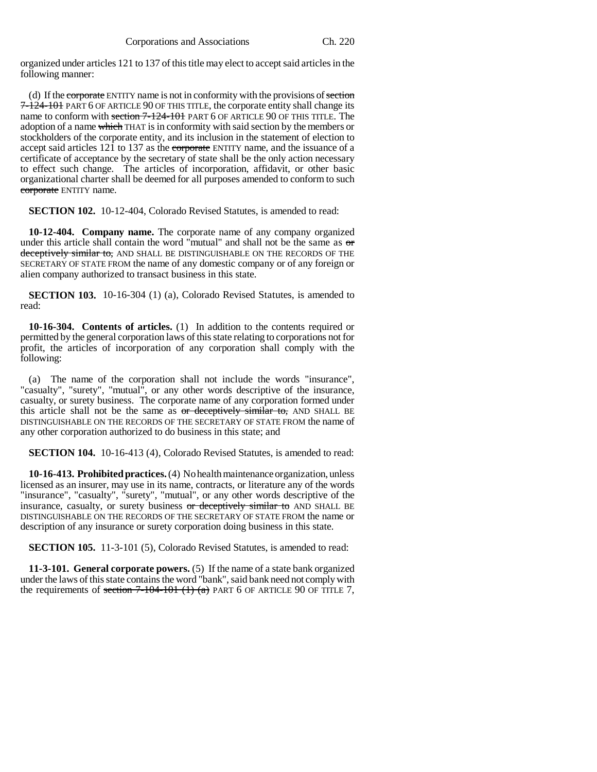organized under articles 121 to 137 of this title may elect to accept said articles in the following manner:

(d) If the corporate ENTITY name is not in conformity with the provisions of section 7-124-101 PART 6 OF ARTICLE 90 OF THIS TITLE, the corporate entity shall change its name to conform with section 7-124-101 PART 6 OF ARTICLE 90 OF THIS TITLE. The adoption of a name which THAT is in conformity with said section by the members or stockholders of the corporate entity, and its inclusion in the statement of election to accept said articles 121 to 137 as the corporate ENTITY name, and the issuance of a certificate of acceptance by the secretary of state shall be the only action necessary to effect such change. The articles of incorporation, affidavit, or other basic organizational charter shall be deemed for all purposes amended to conform to such corporate ENTITY name.

**SECTION 102.** 10-12-404, Colorado Revised Statutes, is amended to read:

**10-12-404. Company name.** The corporate name of any company organized under this article shall contain the word "mutual" and shall not be the same as  $\sigma$ r deceptively similar to, AND SHALL BE DISTINGUISHABLE ON THE RECORDS OF THE SECRETARY OF STATE FROM the name of any domestic company or of any foreign or alien company authorized to transact business in this state.

**SECTION 103.** 10-16-304 (1) (a), Colorado Revised Statutes, is amended to read:

**10-16-304. Contents of articles.** (1) In addition to the contents required or permitted by the general corporation laws of this state relating to corporations not for profit, the articles of incorporation of any corporation shall comply with the following:

(a) The name of the corporation shall not include the words "insurance", "casualty", "surety", "mutual", or any other words descriptive of the insurance, casualty, or surety business. The corporate name of any corporation formed under this article shall not be the same as or deceptively similar to, AND SHALL BE DISTINGUISHABLE ON THE RECORDS OF THE SECRETARY OF STATE FROM the name of any other corporation authorized to do business in this state; and

**SECTION 104.** 10-16-413 (4), Colorado Revised Statutes, is amended to read:

**10-16-413. Prohibited practices.** (4) No health maintenance organization, unless licensed as an insurer, may use in its name, contracts, or literature any of the words "insurance", "casualty", "surety", "mutual", or any other words descriptive of the insurance, casualty, or surety business or deceptively similar to AND SHALL BE DISTINGUISHABLE ON THE RECORDS OF THE SECRETARY OF STATE FROM the name or description of any insurance or surety corporation doing business in this state.

**SECTION 105.** 11-3-101 (5), Colorado Revised Statutes, is amended to read:

**11-3-101. General corporate powers.** (5) If the name of a state bank organized under the laws of this state contains the word "bank", said bank need not comply with the requirements of section  $7-104-101$   $(1)$   $(a)$  PART 6 OF ARTICLE 90 OF TITLE 7,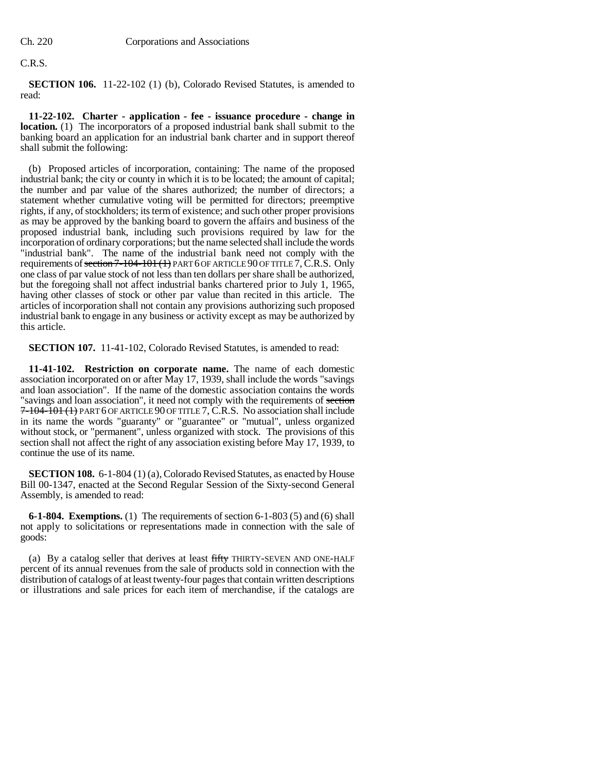# C.R.S.

**SECTION 106.** 11-22-102 (1) (b), Colorado Revised Statutes, is amended to read:

**11-22-102. Charter - application - fee - issuance procedure - change in location.** (1) The incorporators of a proposed industrial bank shall submit to the banking board an application for an industrial bank charter and in support thereof shall submit the following:

(b) Proposed articles of incorporation, containing: The name of the proposed industrial bank; the city or county in which it is to be located; the amount of capital; the number and par value of the shares authorized; the number of directors; a statement whether cumulative voting will be permitted for directors; preemptive rights, if any, of stockholders; its term of existence; and such other proper provisions as may be approved by the banking board to govern the affairs and business of the proposed industrial bank, including such provisions required by law for the incorporation of ordinary corporations; but the name selected shall include the words "industrial bank". The name of the industrial bank need not comply with the requirements of section  $7-104-101$  (1) PART 6 OF ARTICLE 90 OF TITLE 7, C.R.S. Only one class of par value stock of not less than ten dollars per share shall be authorized, but the foregoing shall not affect industrial banks chartered prior to July 1, 1965, having other classes of stock or other par value than recited in this article. The articles of incorporation shall not contain any provisions authorizing such proposed industrial bank to engage in any business or activity except as may be authorized by this article.

**SECTION 107.** 11-41-102, Colorado Revised Statutes, is amended to read:

**11-41-102. Restriction on corporate name.** The name of each domestic association incorporated on or after May 17, 1939, shall include the words "savings and loan association". If the name of the domestic association contains the words "savings and loan association", it need not comply with the requirements of section 7-104-101 (1) PART 6 OF ARTICLE 90 OF TITLE 7, C.R.S. No association shall include in its name the words "guaranty" or "guarantee" or "mutual", unless organized without stock, or "permanent", unless organized with stock. The provisions of this section shall not affect the right of any association existing before May 17, 1939, to continue the use of its name.

**SECTION 108.** 6-1-804 (1) (a), Colorado Revised Statutes, as enacted by House Bill 00-1347, enacted at the Second Regular Session of the Sixty-second General Assembly, is amended to read:

**6-1-804. Exemptions.** (1) The requirements of section 6-1-803 (5) and (6) shall not apply to solicitations or representations made in connection with the sale of goods:

(a) By a catalog seller that derives at least fifty THIRTY-SEVEN AND ONE-HALF percent of its annual revenues from the sale of products sold in connection with the distribution of catalogs of at least twenty-four pages that contain written descriptions or illustrations and sale prices for each item of merchandise, if the catalogs are